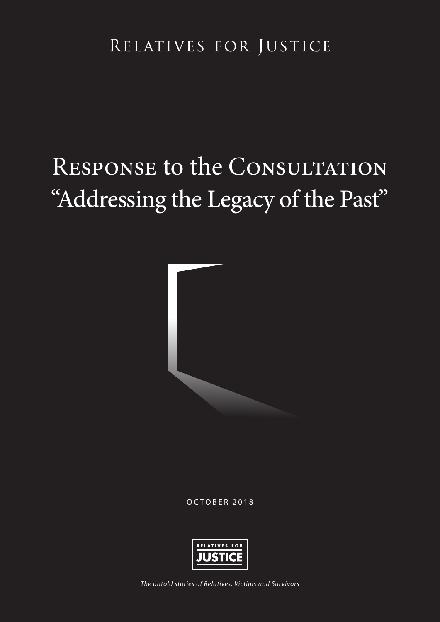### Relatives for Justice

# RESPONSE to the CONSULTATION "Addressing the Legacy of the Past"



OCTOBER 2018



*The untold stories of Relatives, Victims and Survivors*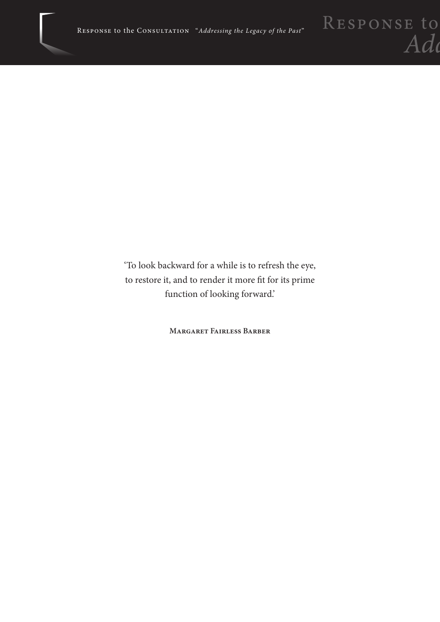'To look backward for a while is to refresh the eye, to restore it, and to render it more fit for its prime function of looking forward.'

**Margaret Fairless Barber**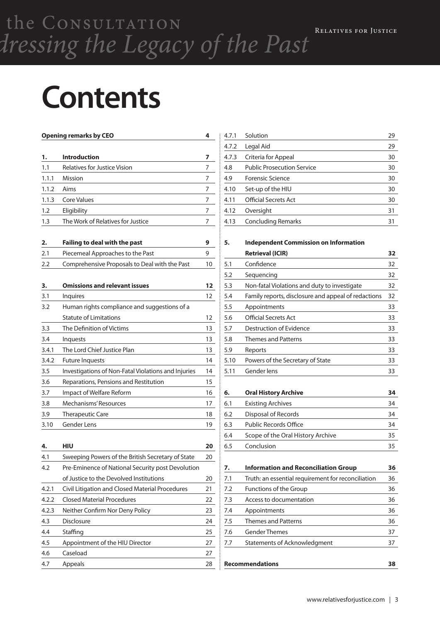# **Contents**

|       | <b>Opening remarks by CEO</b>                       | 4  |
|-------|-----------------------------------------------------|----|
| 1.    | <b>Introduction</b>                                 | 7  |
| 1.1   | <b>Relatives for Justice Vision</b>                 | 7  |
| 1.1.1 | Mission                                             | 7  |
| 1.1.2 | Aims                                                | 7  |
| 1.1.3 | <b>Core Values</b>                                  | 7  |
| 1.2   | Eligibility                                         | 7  |
| 1.3   | The Work of Relatives for Justice                   | 7  |
| 2.    | Failing to deal with the past                       | 9  |
| 2.1   | Piecemeal Approaches to the Past                    | 9  |
| 2.2   | Comprehensive Proposals to Deal with the Past       | 10 |
| 3.    | <b>Omissions and relevant issues</b>                | 12 |
| 3.1   | <b>Inquires</b>                                     | 12 |
| 3.2   | Human rights compliance and suggestions of a        |    |
|       | <b>Statute of Limitations</b>                       | 12 |
| 3.3   | The Definition of Victims                           | 13 |
| 3.4   | <b>Inquests</b>                                     | 13 |
| 3.4.1 | The Lord Chief Justice Plan                         | 13 |
| 3.4.2 | <b>Future Inquests</b>                              | 14 |
| 3.5   | Investigations of Non-Fatal Violations and Injuries | 14 |
| 3.6   | Reparations, Pensions and Restitution               | 15 |
| 3.7   | Impact of Welfare Reform                            | 16 |
| 3.8   | Mechanisms' Resources                               | 17 |
| 3.9   | <b>Therapeutic Care</b>                             | 18 |
| 3.10  | <b>Gender Lens</b>                                  | 19 |
| 4.    | HIU                                                 | 20 |
| 4.1   | Sweeping Powers of the British Secretary of State   | 20 |
| 4.2   | Pre-Eminence of National Security post Devolution   |    |
|       | of Justice to the Devolved Institutions             | 20 |
| 4.2.1 | Civil Litigation and Closed Material Procedures     | 21 |
| 4.2.2 | <b>Closed Material Procedures</b>                   | 22 |
| 4.2.3 | Neither Confirm Nor Deny Policy                     | 23 |
| 4.3   | <b>Disclosure</b>                                   | 24 |
| 4.4   | Staffing                                            | 25 |
| 4.5   | Appointment of the HIU Director                     | 27 |
| 4.6   | Caseload                                            | 27 |
| 4.7   | Appeals                                             | 28 |

| 4.7.1 | Solution                          | 29 |
|-------|-----------------------------------|----|
| 4.7.2 | Legal Aid                         | 29 |
| 4.7.3 | Criteria for Appeal               | 30 |
| 4.8   | <b>Public Prosecution Service</b> | 30 |
| 4.9   | <b>Forensic Science</b>           | 30 |
| 4.10  | Set-up of the HIU                 | 30 |
| 4.11  | <b>Official Secrets Act</b>       | 30 |
| 4.12  | Oversight                         | 31 |
| 4.13  | <b>Concluding Remarks</b>         | 31 |
|       |                                   |    |

**5. Independent Commission on Information** 

|      | <b>Retrieval (ICIR)</b>                             | 32 |
|------|-----------------------------------------------------|----|
| 5.1  | Confidence                                          | 32 |
| 5.2  | Sequencing                                          | 32 |
| 5.3  | Non-fatal Violations and duty to investigate        | 32 |
| 5.4  | Family reports, disclosure and appeal of redactions | 32 |
| 5.5  | Appointments                                        | 33 |
| 5.6  | Official Secrets Act                                | 33 |
| 5.7  | Destruction of Evidence                             | 33 |
| 5.8  | <b>Themes and Patterns</b>                          | 33 |
| 5.9  | Reports                                             | 33 |
| 5.10 | Powers of the Secretary of State                    | 33 |
| 5.11 | Gender lens                                         | 33 |
|      |                                                     |    |

| 6.  | <b>Oral History Archive</b>       | 34 |
|-----|-----------------------------------|----|
| 6.1 | Existing Archives                 | 34 |
| 6.2 | Disposal of Records               | 34 |
| 6.3 | <b>Public Records Office</b>      | 34 |
| 6.4 | Scope of the Oral History Archive | 35 |
| 6.5 | Conclusion                        | २५ |

| 7.  | <b>Information and Reconciliation Group</b>        | 36 |
|-----|----------------------------------------------------|----|
| 7.1 | Truth: an essential requirement for reconciliation | 36 |
| 7.2 | Functions of the Group                             | 36 |
| 7.3 | Access to documentation                            | 36 |
| 7.4 | Appointments                                       | 36 |
| 7.5 | <b>Themes and Patterns</b>                         | 36 |
| 7.6 | <b>Gender Themes</b>                               | 37 |
| 7.7 | Statements of Acknowledgment                       | 37 |
|     |                                                    |    |
|     | <b>Recommendations</b>                             | 38 |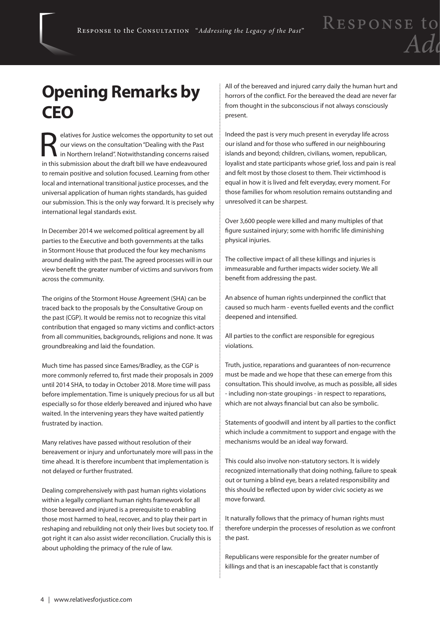### **Opening Remarks by CEO**

Experiences for Justice welcomes the opportunity to set out<br>our views on the consultation "Dealing with the Past<br>in Northern Ireland". Notwithstanding concerns raised<br>in this submission about the draft bill we have andeavo our views on the consultation "Dealing with the Past in Northern Ireland". Notwithstanding concerns raised in this submission about the draft bill we have endeavoured to remain positive and solution focused. Learning from other local and international transitional justice processes, and the universal application of human rights standards, has guided our submission. This is the only way forward. It is precisely why international legal standards exist.

In December 2014 we welcomed political agreement by all parties to the Executive and both governments at the talks in Stormont House that produced the four key mechanisms around dealing with the past. The agreed processes will in our view benefit the greater number of victims and survivors from across the community.

The origins of the Stormont House Agreement (SHA) can be traced back to the proposals by the Consultative Group on the past (CGP). It would be remiss not to recognize this vital contribution that engaged so many victims and conflict-actors from all communities, backgrounds, religions and none. It was groundbreaking and laid the foundation.

Much time has passed since Eames/Bradley, as the CGP is more commonly referred to, first made their proposals in 2009 until 2014 SHA, to today in October 2018. More time will pass before implementation. Time is uniquely precious for us all but especially so for those elderly bereaved and injured who have waited. In the intervening years they have waited patiently frustrated by inaction.

Many relatives have passed without resolution of their bereavement or injury and unfortunately more will pass in the time ahead. It is therefore incumbent that implementation is not delayed or further frustrated.

Dealing comprehensively with past human rights violations within a legally compliant human rights framework for all those bereaved and injured is a prerequisite to enabling those most harmed to heal, recover, and to play their part in reshaping and rebuilding not only their lives but society too. If got right it can also assist wider reconciliation. Crucially this is about upholding the primacy of the rule of law.

All of the bereaved and injured carry daily the human hurt and horrors of the conflict. For the bereaved the dead are never far from thought in the subconscious if not always consciously present.

Indeed the past is very much present in everyday life across our island and for those who suffered in our neighbouring islands and beyond; children, civilians, women, republican, loyalist and state participants whose grief, loss and pain is real and felt most by those closest to them. Their victimhood is equal in how it is lived and felt everyday, every moment. For those families for whom resolution remains outstanding and unresolved it can be sharpest.

Over 3,600 people were killed and many multiples of that figure sustained injury; some with horrific life diminishing physical injuries.

The collective impact of all these killings and injuries is immeasurable and further impacts wider society. We all benefit from addressing the past.

An absence of human rights underpinned the conflict that caused so much harm - events fuelled events and the conflict deepened and intensified.

All parties to the conflict are responsible for egregious violations.

Truth, justice, reparations and guarantees of non-recurrence must be made and we hope that these can emerge from this consultation. This should involve, as much as possible, all sides - including non-state groupings - in respect to reparations, which are not always financial but can also be symbolic.

Statements of goodwill and intent by all parties to the conflict which include a commitment to support and engage with the mechanisms would be an ideal way forward.

This could also involve non-statutory sectors. It is widely recognized internationally that doing nothing, failure to speak out or turning a blind eye, bears a related responsibility and this should be reflected upon by wider civic society as we move forward.

It naturally follows that the primacy of human rights must therefore underpin the processes of resolution as we confront the past.

Republicans were responsible for the greater number of killings and that is an inescapable fact that is constantly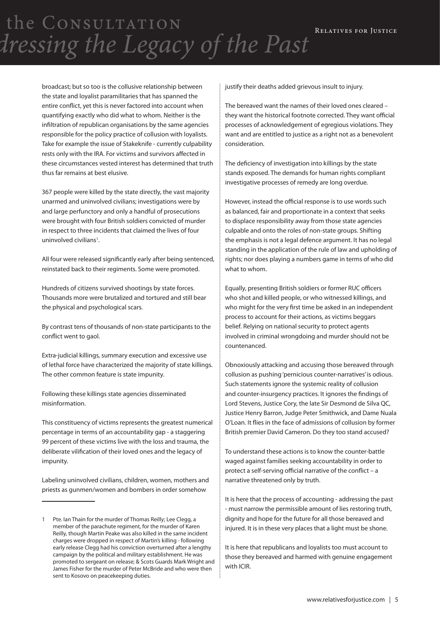> broadcast; but so too is the collusive relationship between the state and loyalist paramilitaries that has spanned the entire conflict, yet this is never factored into account when quantifying exactly who did what to whom. Neither is the infiltration of republican organisations by the same agencies responsible for the policy practice of collusion with loyalists. Take for example the issue of Stakeknife - currently culpability rests only with the IRA. For victims and survivors affected in these circumstances vested interest has determined that truth thus far remains at best elusive.

367 people were killed by the state directly, the vast majority unarmed and uninvolved civilians; investigations were by and large perfunctory and only a handful of prosecutions were brought with four British soldiers convicted of murder in respect to three incidents that claimed the lives of four uninvolved civilians<sup>1</sup>.

All four were released significantly early after being sentenced, reinstated back to their regiments. Some were promoted.

Hundreds of citizens survived shootings by state forces. Thousands more were brutalized and tortured and still bear the physical and psychological scars.

By contrast tens of thousands of non-state participants to the conflict went to gaol.

Extra-judicial killings, summary execution and excessive use of lethal force have characterized the majority of state killings. The other common feature is state impunity.

Following these killings state agencies disseminated misinformation.

This constituency of victims represents the greatest numerical percentage in terms of an accountability gap - a staggering 99 percent of these victims live with the loss and trauma, the deliberate vilification of their loved ones and the legacy of impunity.

Labeling uninvolved civilians, children, women, mothers and priests as gunmen/women and bombers in order somehow

justify their deaths added grievous insult to injury.

The bereaved want the names of their loved ones cleared – they want the historical footnote corrected. They want official processes of acknowledgement of egregious violations. They want and are entitled to justice as a right not as a benevolent consideration.

The deficiency of investigation into killings by the state stands exposed. The demands for human rights compliant investigative processes of remedy are long overdue.

However, instead the official response is to use words such as balanced, fair and proportionate in a context that seeks to displace responsibility away from those state agencies culpable and onto the roles of non-state groups. Shifting the emphasis is not a legal defence argument. It has no legal standing in the application of the rule of law and upholding of rights; nor does playing a numbers game in terms of who did what to whom.

Equally, presenting British soldiers or former RUC officers who shot and killed people, or who witnessed killings, and who might for the very first time be asked in an independent process to account for their actions, as victims beggars belief. Relying on national security to protect agents involved in criminal wrongdoing and murder should not be countenanced.

Obnoxiously attacking and accusing those bereaved through collusion as pushing 'pernicious counter-narratives' is odious. Such statements ignore the systemic reality of collusion and counter-insurgency practices. It ignores the findings of Lord Stevens, Justice Cory, the late Sir Desmond de Silva QC, Justice Henry Barron, Judge Peter Smithwick, and Dame Nuala O'Loan. It flies in the face of admissions of collusion by former British premier David Cameron. Do they too stand accused?

To understand these actions is to know the counter-battle waged against families seeking accountability in order to protect a self-serving official narrative of the conflict – a narrative threatened only by truth.

It is here that the process of accounting - addressing the past - must narrow the permissible amount of lies restoring truth, dignity and hope for the future for all those bereaved and injured. It is in these very places that a light must be shone.

It is here that republicans and loyalists too must account to those they bereaved and harmed with genuine engagement with ICIR.

<sup>1</sup> Pte. Ian Thain for the murder of Thomas Reilly; Lee Clegg, a member of the parachute regiment, for the murder of Karen Reilly, though Martin Peake was also killed in the same incident charges were dropped in respect of Martin's killing - following early release Clegg had his conviction overturned after a lengthy campaign by the political and military establishment. He was promoted to sergeant on release; & Scots Guards Mark Wright and James Fisher for the murder of Peter McBride and who were then sent to Kosovo on peacekeeping duties.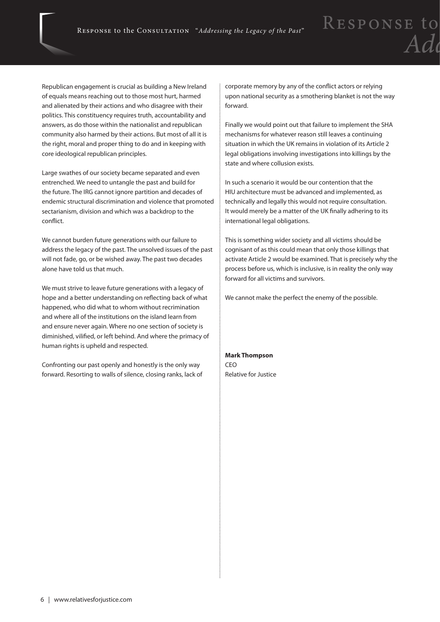Republican engagement is crucial as building a New Ireland of equals means reaching out to those most hurt, harmed and alienated by their actions and who disagree with their politics. This constituency requires truth, accountability and answers, as do those within the nationalist and republican community also harmed by their actions. But most of all it is the right, moral and proper thing to do and in keeping with core ideological republican principles.

Large swathes of our society became separated and even entrenched. We need to untangle the past and build for the future. The IRG cannot ignore partition and decades of endemic structural discrimination and violence that promoted sectarianism, division and which was a backdrop to the conflict.

We cannot burden future generations with our failure to address the legacy of the past. The unsolved issues of the past will not fade, go, or be wished away. The past two decades alone have told us that much.

We must strive to leave future generations with a legacy of hope and a better understanding on reflecting back of what happened, who did what to whom without recrimination and where all of the institutions on the island learn from and ensure never again. Where no one section of society is diminished, vilified, or left behind. And where the primacy of human rights is upheld and respected.

Confronting our past openly and honestly is the only way forward. Resorting to walls of silence, closing ranks, lack of corporate memory by any of the conflict actors or relying upon national security as a smothering blanket is not the way forward.

RESPONSE to

Finally we would point out that failure to implement the SHA mechanisms for whatever reason still leaves a continuing situation in which the UK remains in violation of its Article 2 legal obligations involving investigations into killings by the state and where collusion exists.

In such a scenario it would be our contention that the HIU architecture must be advanced and implemented, as technically and legally this would not require consultation. It would merely be a matter of the UK finally adhering to its international legal obligations.

This is something wider society and all victims should be cognisant of as this could mean that only those killings that activate Article 2 would be examined. That is precisely why the process before us, which is inclusive, is in reality the only way forward for all victims and survivors.

We cannot make the perfect the enemy of the possible.

**Mark Thompson CEO** Relative for Justice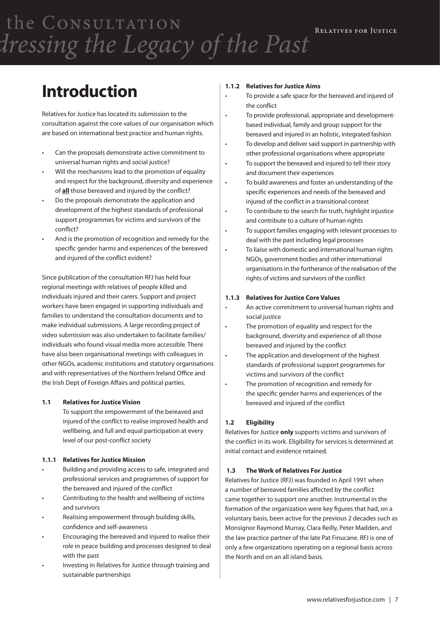### **Introduction**

Relatives for Justice has located its submission to the consultation against the core values of our organisation which are based on international best practice and human rights.

- Can the proposals demonstrate active commitment to universal human rights and social justice?
- Will the mechanisms lead to the promotion of equality and respect for the background, diversity and experience of **all** those bereaved and injured by the conflict?
- Do the proposals demonstrate the application and development of the highest standards of professional support programmes for victims and survivors of the conflict?
- And is the promotion of recognition and remedy for the specific gender harms and experiences of the bereaved and injured of the conflict evident?

Since publication of the consultation RFJ has held four regional meetings with relatives of people killed and individuals injured and their carers. Support and project workers have been engaged in supporting individuals and families to understand the consultation documents and to make individual submissions. A large recording project of video submission was also undertaken to facilitate families/ individuals who found visual media more accessible. There have also been organisational meetings with colleagues in other NGOs, academic institutions and statutory organisations and with representatives of the Northern Ireland Office and the Irish Dept of Foreign Affairs and political parties.

#### **1.1 Relatives for Justice Vision**

 To support the empowerment of the bereaved and injured of the conflict to realise improved health and wellbeing, and full and equal participation at every level of our post-conflict society

#### **1.1.1 Relatives for Justice Mission**

- Building and providing access to safe, integrated and professional services and programmes of support for the bereaved and injured of the conflict
- Contributing to the health and wellbeing of victims and survivors
- Realising empowerment through building skills, confidence and self-awareness
- Encouraging the bereaved and injured to realise their role in peace building and processes designed to deal with the past
- Investing in Relatives for Justice through training and sustainable partnerships

#### **1.1.2 Relatives for Justice Aims**

- To provide a safe space for the bereaved and injured of the conflict
- • To provide professional, appropriate and developmentbased individual, family and group support for the bereaved and injured in an holistic, integrated fashion
- • To develop and deliver said support in partnership with other professional organisations where appropriate
- • To support the bereaved and injured to tell their story and document their experiences
- • To build awareness and foster an understanding of the specific experiences and needs of the bereaved and injured of the conflict in a transitional context
- • To contribute to the search for truth, highlight injustice and contribute to a culture of human rights
- To support families engaging with relevant processes to deal with the past including legal processes
- • To liaise with domestic and international human rights NGOs, government bodies and other international organisations in the furtherance of the realisation of the rights of victims and survivors of the conflict

#### **1.1.3 Relatives for Justice Core Values**

- An active commitment to universal human rights and social justice
- • The promotion of equality and respect for the background, diversity and experience of all those bereaved and injured by the conflict
- • The application and development of the highest standards of professional support programmes for victims and survivors of the conflict
- The promotion of recognition and remedy for the specific gender harms and experiences of the bereaved and injured of the conflict

#### **1.2 Eligibility**

Relatives for Justice **only** supports victims and survivors of the conflict in its work. Eligibility for services is determined at initial contact and evidence retained.

#### **1.3 The Work of Relatives For Justice**

Relatives for Justice (RFJ) was founded in April 1991 when a number of bereaved families affected by the conflict came together to support one another. Instrumental in the formation of the organization were key figures that had, on a voluntary basis, been active for the previous 2 decades such as Monsignor Raymond Murray, Clara Reilly, Peter Madden, and the law practice partner of the late Pat Finucane. RFJ is one of only a few organizations operating on a regional basis across the North and on an all island basis.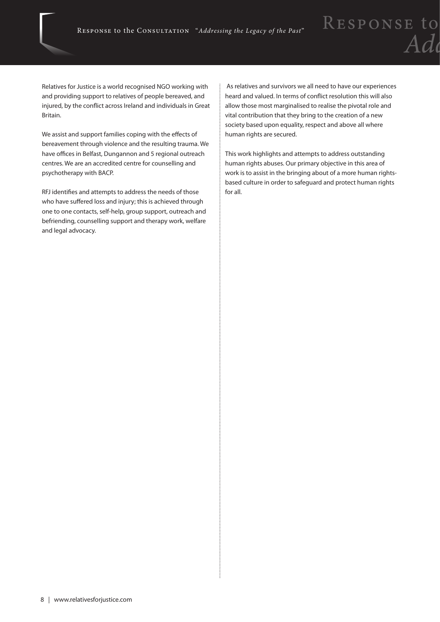Relatives for Justice is a world recognised NGO working with and providing support to relatives of people bereaved, and injured, by the conflict across Ireland and individuals in Great Britain.

We assist and support families coping with the effects of bereavement through violence and the resulting trauma. We have offices in Belfast, Dungannon and 5 regional outreach centres. We are an accredited centre for counselling and psychotherapy with BACP.

RFJ identifies and attempts to address the needs of those who have suffered loss and injury; this is achieved through one to one contacts, self-help, group support, outreach and befriending, counselling support and therapy work, welfare and legal advocacy.

 As relatives and survivors we all need to have our experiences heard and valued. In terms of conflict resolution this will also allow those most marginalised to realise the pivotal role and vital contribution that they bring to the creation of a new society based upon equality, respect and above all where human rights are secured.

This work highlights and attempts to address outstanding human rights abuses. Our primary objective in this area of work is to assist in the bringing about of a more human rightsbased culture in order to safeguard and protect human rights for all.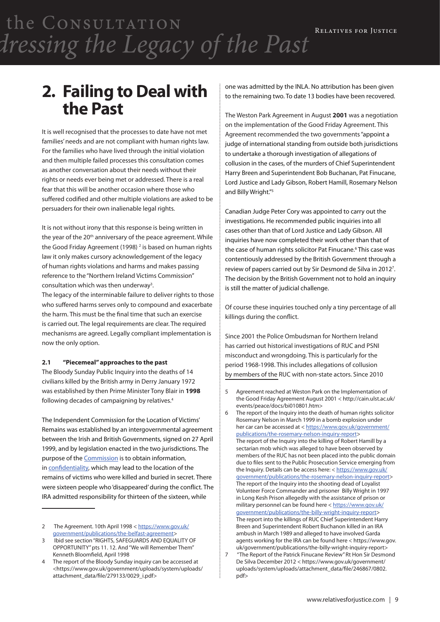### **2. Failing to Deal with the Past**

It is well recognised that the processes to date have not met families' needs and are not compliant with human rights law. For the families who have lived through the initial violation and then multiple failed processes this consultation comes as another conversation about their needs without their rights or needs ever being met or addressed. There is a real fear that this will be another occasion where those who suffered codified and other multiple violations are asked to be persuaders for their own inalienable legal rights.

It is not without irony that this response is being written in the year of the 20<sup>th</sup> anniversary of the peace agreement. While the Good Friday Agreement (1998)<sup>2</sup> is based on human rights law it only makes cursory acknowledgement of the legacy of human rights violations and harms and makes passing reference to the "Northern Ireland Victims Commission" consultation which was then underway<sup>3</sup>.

The legacy of the interminable failure to deliver rights to those who suffered harms serves only to compound and exacerbate the harm. This must be the final time that such an exercise is carried out. The legal requirements are clear. The required mechanisms are agreed. Legally compliant implementation is now the only option.

#### **2.1 "Piecemeal" approaches to the past**

The Bloody Sunday Public Inquiry into the deaths of 14 civilians killed by the British army in Derry January 1972 was established by then Prime Minister Tony Blair in **1998** following decades of campaigning by relatives.4

The Independent Commission for the Location of Victims' Remains was established by an intergovernmental agreement between the Irish and British Governments, signed on 27 April 1999, and by legislation enacted in the two jurisdictions. The purpose of the Commission is to obtain information, in confidentiality, which may lead to the location of the remains of victims who were killed and buried in secret. There were sixteen people who 'disappeared' during the conflict. The IRA admitted responsibility for thirteen of the sixteen, while

one was admitted by the INLA. No attribution has been given to the remaining two. To date 13 bodies have been recovered.

The Weston Park Agreement in August **2001** was a negotiation on the implementation of the Good Friday Agreement. This Agreement recommended the two governments "appoint a judge of international standing from outside both jurisdictions to undertake a thorough investigation of allegations of collusion in the cases, of the murders of Chief Superintendent Harry Breen and Superintendent Bob Buchanan, Pat Finucane, Lord Justice and Lady Gibson, Robert Hamill, Rosemary Nelson and Billy Wright."5

Canadian Judge Peter Cory was appointed to carry out the investigations. He recommended public inquiries into all cases other than that of Lord Justice and Lady Gibson. All inquiries have now completed their work other than that of the case of human rights solicitor Pat Finucane.<sup>6</sup> This case was contentiously addressed by the British Government through a review of papers carried out by Sir Desmond de Silva in 2012<sup>7</sup>. The decision by the British Government not to hold an inquiry is still the matter of judicial challenge.

Of course these inquiries touched only a tiny percentage of all killings during the conflict.

Since 2001 the Police Ombudsman for Northern Ireland has carried out historical investigations of RUC and PSNI misconduct and wrongdoing. This is particularly for the period 1968-1998. This includes allegations of collusion by members of the RUC with non-state actors. Since 2010

The Agreement. 10th April 1998 < https://www.gov.uk/ government/publications/the-belfast-agreement>

<sup>3</sup> Ibid see section "RIGHTS, SAFEGUARDS AND EQUALITY OF OPPORTUNITY" pts 11. 12. And "We will Remember Them" Kenneth Bloomfield, April 1998

The report of the Bloody Sunday inquiry can be accessed at <https://www.gov.uk/government/uploads/system/uploads/ attachment\_data/file/279133/0029\_i.pdf>

<sup>5</sup> Agreement reached at Weston Park on the Implementation of the Good Friday Agreement August 2001 < http://cain.ulst.ac.uk/ events/peace/docs/bi010801.htm>

<sup>6</sup> The report of the Inquiry into the death of human rights solicitor Rosemary Nelson in March 1999 in a bomb explosion under her car can be accessed at < https://www.gov.uk/government/ publications/the-rosemary-nelson-inquiry-report> The report of the Inquiry into the killing of Robert Hamill by a sectarian mob which was alleged to have been observed by members of the RUC has not been placed into the public domain due to files sent to the Public Prosecution Service emerging from the Inquiry. Details can be access here: < https://www.gov.uk/ government/publications/the-rosemary-nelson-inquiry-report> The report of the Inquiry into the shooting dead of Loyalist Volunteer Force Commander and prisoner Billy Wright in 1997 in Long Kesh Prison allegedly with the assistance of prison or military personnel can be found here < https://www.gov.uk/ government/publications/the-billy-wright-inquiry-report> The report into the killings of RUC Chief Superintendent Harry Breen and Superintendent Robert Buchanon killed in an IRA ambush in March 1989 and alleged to have involved Garda agents working for the IRA can be found here < https://www.gov. uk/government/publications/the-billy-wright-inquiry-report> 7 "The Report of the Patrick Finucane Review" Rt Hon Sir Desmond De Silva December 2012 < https://www.gov.uk/government/ uploads/system/uploads/attachment\_data/file/246867/0802. pdf>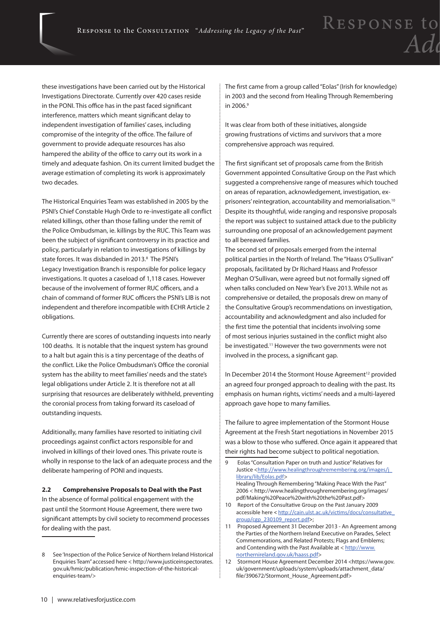these investigations have been carried out by the Historical Investigations Directorate. Currently over 420 cases reside in the PONI. This office has in the past faced significant interference, matters which meant significant delay to independent investigation of families' cases, including compromise of the integrity of the office. The failure of government to provide adequate resources has also hampered the ability of the office to carry out its work in a timely and adequate fashion. On its current limited budget the average estimation of completing its work is approximately two decades.

The Historical Enquiries Team was established in 2005 by the PSNI's Chief Constable Hugh Orde to re-investigate all conflict related killings, other than those falling under the remit of the Police Ombudsman, ie. killings by the RUC. This Team was been the subject of significant controversy in its practice and policy, particularly in relation to investigations of killings by state forces. It was disbanded in 2013.<sup>8</sup> The PSNI's Legacy Investigation Branch is responsible for police legacy investigations. It quotes a caseload of 1,118 cases. However because of the involvement of former RUC officers, and a chain of command of former RUC officers the PSNI's LIB is not independent and therefore incompatible with ECHR Article 2 obligations.

Currently there are scores of outstanding inquests into nearly 100 deaths. It is notable that the inquest system has ground to a halt but again this is a tiny percentage of the deaths of the conflict. Like the Police Ombudsman's Office the coronial system has the ability to meet families' needs and the state's legal obligations under Article 2. It is therefore not at all surprising that resources are deliberately withheld, preventing the coronial process from taking forward its caseload of outstanding inquests.

Additionally, many families have resorted to initiating civil proceedings against conflict actors responsible for and involved in killings of their loved ones. This private route is wholly in response to the lack of an adequate process and the deliberate hampering of PONI and inquests.

**2.2 Comprehensive Proposals to Deal with the Past** In the absence of formal political engagement with the past until the Stormont House Agreement, there were two significant attempts by civil society to recommend processes for dealing with the past.

The first came from a group called "Eolas" (Irish for knowledge) in 2003 and the second from Healing Through Remembering in 2006.9

It was clear from both of these initiatives, alongside growing frustrations of victims and survivors that a more comprehensive approach was required.

The first significant set of proposals came from the British Government appointed Consultative Group on the Past which suggested a comprehensive range of measures which touched on areas of reparation, acknowledgement, investigation, exprisoners' reintegration, accountability and memorialisation.<sup>10</sup> Despite its thoughtful, wide ranging and responsive proposals the report was subject to sustained attack due to the publicity surrounding one proposal of an acknowledgement payment to all bereaved families.

The second set of proposals emerged from the internal political parties in the North of Ireland. The "Haass O'Sullivan" proposals, facilitated by Dr Richard Haass and Professor Meghan O'Sullivan, were agreed but not formally signed off when talks concluded on New Year's Eve 2013. While not as comprehensive or detailed, the proposals drew on many of the Consultative Group's recommendations on investigation, accountability and acknowledgment and also included for the first time the potential that incidents involving some of most serious injuries sustained in the conflict might also be investigated.11 However the two governments were not involved in the process, a significant gap.

In December 2014 the Stormont House Agreement<sup>12</sup> provided an agreed four pronged approach to dealing with the past. Its emphasis on human rights, victims' needs and a multi-layered approach gave hope to many families.

The failure to agree implementation of the Stormont House Agreement at the Fresh Start negotiations in November 2015 was a blow to those who suffered. Once again it appeared that their rights had become subject to political negotiation.

<sup>8</sup> See 'Inspection of the Police Service of Northern Ireland Historical Enquiries Team" accessed here < http://www.justiceinspectorates. gov.uk/hmic/publication/hmic-inspection-of-the-historicalenquiries-team/>

<sup>9</sup> Eolas "Consultation Paper on truth and Justice" Relatives for Justice <http://www.healingthroughremembering.org/images/j library/lib/Eolas.pdf> Healing Through Remembering "Making Peace With the Past" 2006 < http://www.healingthroughremembering.org/images/ pdf/Making%20Peace%20with%20the%20Past.pdf>

<sup>10</sup> Report of the Consultative Group on the Past January 2009 accessible here < http://cain.ulst.ac.uk/victims/docs/consultative\_ group/cgp\_230109\_report.pdf>;

<sup>11</sup> Proposed Agreement 31 December 2013 - An Agreement among the Parties of the Northern Ireland Executive on Parades, Select Commemorations, and Related Protests; Flags and Emblems; and Contending with the Past Available at < http://www. northernireland.gov.uk/haass.pdf>

<sup>12</sup> Stormont House Agreement December 2014 <https://www.gov. uk/government/uploads/system/uploads/attachment\_data/ file/390672/Stormont\_House\_Agreement.pdf>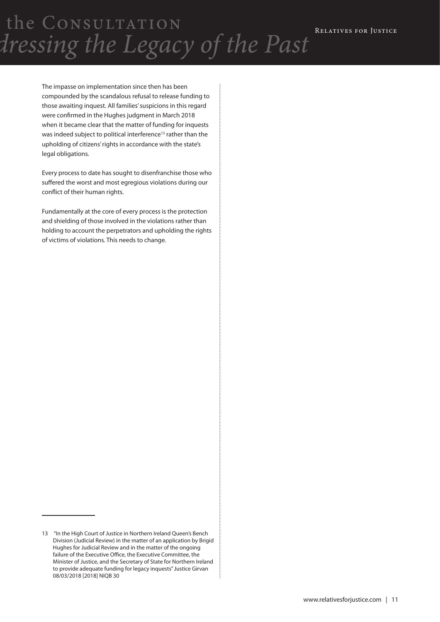> The impasse on implementation since then has been compounded by the scandalous refusal to release funding to those awaiting inquest. All families' suspicions in this regard were confirmed in the Hughes judgment in March 2018 when it became clear that the matter of funding for inquests was indeed subject to political interference<sup>13</sup> rather than the upholding of citizens' rights in accordance with the state's legal obligations.

> Every process to date has sought to disenfranchise those who suffered the worst and most egregious violations during our conflict of their human rights.

> Fundamentally at the core of every process is the protection and shielding of those involved in the violations rather than holding to account the perpetrators and upholding the rights of victims of violations. This needs to change.

<sup>13 &</sup>quot;In the High Court of Justice in Northern Ireland Queen's Bench Division (Judicial Review) in the matter of an application by Brigid Hughes for Judicial Review and in the matter of the ongoing failure of the Executive Office, the Executive Committee, the Minister of Justice, and the Secretary of State for Northern Ireland to provide adequate funding for legacy inquests" Justice Girvan 08/03/2018 [2018] NIQB 30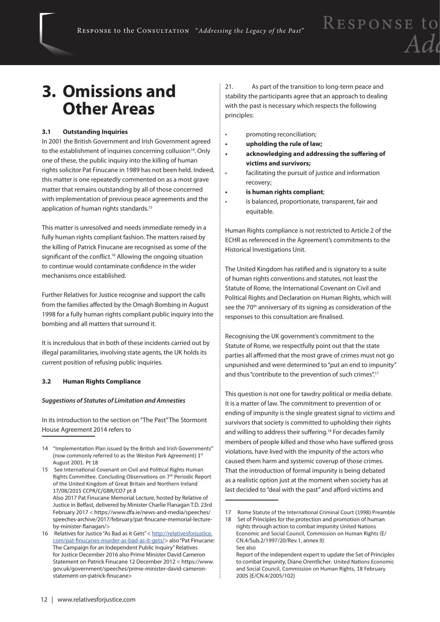### **3. Omissions and Other Areas**

#### **3.1 Outstanding Inquiries**

In 2001 the British Government and Irish Government agreed to the establishment of inquiries concerning collusion<sup>14</sup>. Only one of these, the public inquiry into the killing of human rights solicitor Pat Finucane in 1989 has not been held. Indeed, this matter is one repeatedly commented on as a most grave matter that remains outstanding by all of those concerned with implementation of previous peace agreements and the application of human rights standards.<sup>15</sup>

This matter is unresolved and needs immediate remedy in a fully human rights compliant fashion. The matters raised by the killing of Patrick Finucane are recognised as some of the significant of the conflict.<sup>16</sup> Allowing the ongoing situation to continue would contaminate confidence in the wider mechanisms once established.

Further Relatives for Justice recognise and support the calls from the families affected by the Omagh Bombing in August 1998 for a fully human rights compliant public inquiry into the bombing and all matters that surround it.

It is incredulous that in both of these incidents carried out by illegal paramilitaries, involving state agents, the UK holds its current position of refusing public inquiries.

#### **3.2 Human Rights Compliance**

#### *Suggestions of Statutes of Limitation and Amnesties*

In its introduction to the section on "The Past" The Stormont House Agreement 2014 refers to

21. As part of the transition to long-term peace and stability the participants agree that an approach to dealing with the past is necessary which respects the following principles:

- • promoting reconciliation;
- **• upholding the rule of law;**
- **• acknowledging and addressing the suffering of victims and survivors;**
- • facilitating the pursuit of justice and information recovery;
- **is human rights compliant;**
- is balanced, proportionate, transparent, fair and equitable.

Human Rights compliance is not restricted to Article 2 of the ECHR as referenced in the Agreement's commitments to the Historical Investigations Unit.

The United Kingdom has ratified and is signatory to a suite of human rights conventions and statutes, not least the Statute of Rome, the International Covenant on Civil and Political Rights and Declaration on Human Rights, which will see the 70<sup>th</sup> anniversary of its signing as consideration of the responses to this consultation are finalised.

Recognising the UK government's commitment to the Statute of Rome, we respectfully point out that the state parties all affirmed that the most grave of crimes must not go unpunished and were determined to "put an end to impunity" and thus "contribute to the prevention of such crimes".<sup>17</sup>

This question is not one for tawdry political or media debate. It is a matter of law. The commitment to prevention of or ending of impunity is the single greatest signal to victims and survivors that society is committed to upholding their rights and willing to address their suffering.<sup>18</sup> For decades family members of people killed and those who have suffered gross violations, have lived with the impunity of the actors who caused them harm and systemic coverup of those crimes. That the introduction of formal impunity is being debated as a realistic option just at the moment when society has at last decided to "deal with the past" and afford victims and

<sup>14</sup> "Implementation Plan issued by the British and Irish Governments" (now commonly referred to as the Weston Park Agreement) 1st August 2001. Pt 18

<sup>15</sup> See International Covenant on Civil and Political Rights Human Rights Committee. Concluding Observations on 7th Periodic Report of the United Kingdom of Great Britain and Northern Ireland 17/08/2015 CCPR/C/GBR/CO7 pt 8 Also 2017 Pat Finucane Memorial Lecture, hosted by Relative of Justice in Belfast, delivered by Minister Charlie Flanagan T.D. 23rd February 2017 < https://www.dfa.ie/news-and-media/speeches/ speeches-archive/2017/february/pat-finucane-memorial-lectureby-minister-flanagan/>

<sup>16</sup> Relatives for Justice "As Bad as it Gets" < http://relativesforjustice. com/pat-finucanes-murder-as-bad-as-it-gets/> also "Pat Finucane: The Campaign for an Independent Public Inquiry" Relatives for Justice December 2016 also Prime Minister David Cameron Statement on Patrick Finucane 12 December 2012 < https://www. gov.uk/government/speeches/prime-minister-david-cameronstatement-on-patrick-finucane>

<sup>17</sup> Rome Statute of the International Criminal Court (1998) Preamble

<sup>18</sup> Set of Principles for the protection and promotion of human rights through action to combat impunity United Nations Economic and Social Council, Commission on Human Rights (E/ CN.4/Sub.2/1997/20/Rev.1, annex II) See also

Report of the independent expert to update the Set of Principles to combat impunity, Diane Orentlicher. United Nations Economic and Social Council, Commission on Human Rights, 18 February 2005 (E/CN.4/2005/102)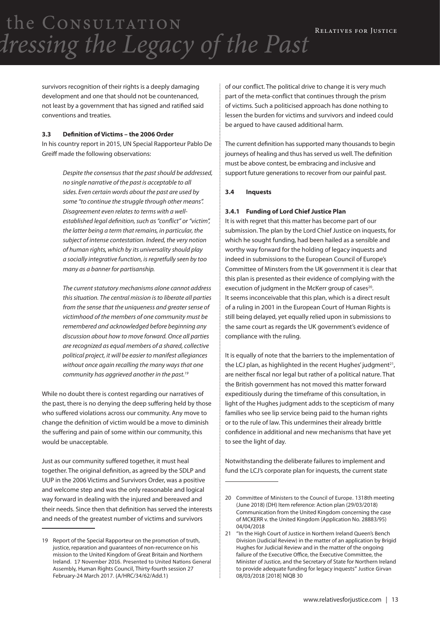> survivors recognition of their rights is a deeply damaging development and one that should not be countenanced, not least by a government that has signed and ratified said conventions and treaties.

#### **3.3 Definition of Victims – the 2006 Order**

In his country report in 2015, UN Special Rapporteur Pablo De Greiff made the following observations:

> *Despite the consensus that the past should be addressed, no single narrative of the past is acceptable to all sides. Even certain words about the past are used by some "to continue the struggle through other means". Disagreement even relates to terms with a wellestablished legal definition, such as "conflict" or "victim", the latter being a term that remains, in particular, the subject of intense contestation. Indeed, the very notion of human rights, which by its universality should play a socially integrative function, is regretfully seen by too many as a banner for partisanship.*

> *The current statutory mechanisms alone cannot address this situation. The central mission is to liberate all parties from the sense that the uniqueness and greater sense of victimhood of the members of one community must be remembered and acknowledged before beginning any discussion about how to move forward. Once all parties are recognized as equal members of a shared, collective political project, it will be easier to manifest allegiances without once again recalling the many ways that one community has aggrieved another in the past.19*

While no doubt there is contest regarding our narratives of the past, there is no denying the deep suffering held by those who suffered violations across our community. Any move to change the definition of victim would be a move to diminish the suffering and pain of some within our community, this would be unacceptable.

Just as our community suffered together, it must heal together. The original definition, as agreed by the SDLP and UUP in the 2006 Victims and Survivors Order, was a positive and welcome step and was the only reasonable and logical way forward in dealing with the injured and bereaved and their needs. Since then that definition has served the interests and needs of the greatest number of victims and survivors

of our conflict. The political drive to change it is very much part of the meta-conflict that continues through the prism of victims. Such a politicised approach has done nothing to lessen the burden for victims and survivors and indeed could be argued to have caused additional harm.

The current definition has supported many thousands to begin journeys of healing and thus has served us well. The definition must be above contest, be embracing and inclusive and support future generations to recover from our painful past.

#### **3.4 Inquests**

#### **3.4.1 Funding of Lord Chief Justice Plan**

It is with regret that this matter has become part of our submission. The plan by the Lord Chief Justice on inquests, for which he sought funding, had been hailed as a sensible and worthy way forward for the holding of legacy inquests and indeed in submissions to the European Council of Europe's Committee of Minsters from the UK government it is clear that this plan is presented as their evidence of complying with the execution of judgment in the McKerr group of cases<sup>20</sup>. It seems inconceivable that this plan, which is a direct result of a ruling in 2001 in the European Court of Human Rights is still being delayed, yet equally relied upon in submissions to the same court as regards the UK government's evidence of compliance with the ruling.

It is equally of note that the barriers to the implementation of the LCJ plan, as highlighted in the recent Hughes' judgment<sup>21</sup>, are neither fiscal nor legal but rather of a political nature. That the British government has not moved this matter forward expeditiously during the timeframe of this consultation, in light of the Hughes judgment adds to the scepticism of many families who see lip service being paid to the human rights or to the rule of law. This undermines their already brittle confidence in additional and new mechanisms that have yet to see the light of day.

Notwithstanding the deliberate failures to implement and fund the LCJ's corporate plan for inquests, the current state

<sup>19</sup> Report of the Special Rapporteur on the promotion of truth, justice, reparation and quarantees of non-recurrence on his mission to the United Kingdom of Great Britain and Northern Ireland. 17 November 2016. Presented to United Nations General Assembly, Human Rights Council, Thirty-fourth session 27 February-24 March 2017. (A/HRC/34/62/Add.1)

<sup>20</sup> Committee of Ministers to the Council of Europe. 1318th meeting (June 2018) (DH) Item reference: Action plan (29/03/2018) Communication from the United Kingdom concerning the case of MCKERR v. the United Kingdom (Application No. 28883/95) 04/04/2018

<sup>21 &</sup>quot;In the High Court of Justice in Northern Ireland Queen's Bench Division (Judicial Review) in the matter of an application by Brigid Hughes for Judicial Review and in the matter of the ongoing failure of the Executive Office, the Executive Committee, the Minister of Justice, and the Secretary of State for Northern Ireland to provide adequate funding for legacy inquests" Justice Girvan 08/03/2018 [2018] NIQB 30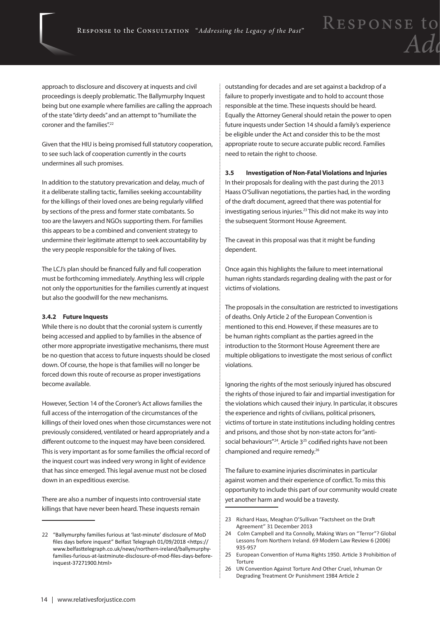approach to disclosure and discovery at inquests and civil proceedings is deeply problematic. The Ballymurphy Inquest being but one example where families are calling the approach of the state "dirty deeds" and an attempt to "humiliate the coroner and the families".<sup>22</sup>

Given that the HIU is being promised full statutory cooperation, to see such lack of cooperation currently in the courts undermines all such promises.

In addition to the statutory prevarication and delay, much of it a deliberate stalling tactic, families seeking accountability for the killings of their loved ones are being regularly vilified by sections of the press and former state combatants. So too are the lawyers and NGOs supporting them. For families this appears to be a combined and convenient strategy to undermine their legitimate attempt to seek accountability by the very people responsible for the taking of lives.

The LCJ's plan should be financed fully and full cooperation must be forthcoming immediately. Anything less will cripple not only the opportunities for the families currently at inquest but also the goodwill for the new mechanisms.

#### **3.4.2 Future Inquests**

While there is no doubt that the coronial system is currently being accessed and applied to by families in the absence of other more appropriate investigative mechanisms, there must be no question that access to future inquests should be closed down. Of course, the hope is that families will no longer be forced down this route of recourse as proper investigations become available.

However, Section 14 of the Coroner's Act allows families the full access of the interrogation of the circumstances of the killings of their loved ones when those circumstances were not previously considered, ventilated or heard appropriately and a different outcome to the inquest may have been considered. This is very important as for some families the official record of the inquest court was indeed very wrong in light of evidence that has since emerged. This legal avenue must not be closed down in an expeditious exercise.

There are also a number of inquests into controversial state killings that have never been heard. These inquests remain

outstanding for decades and are set against a backdrop of a failure to properly investigate and to hold to account those responsible at the time. These inquests should be heard. Equally the Attorney General should retain the power to open future inquests under Section 14 should a family's experience be eligible under the Act and consider this to be the most appropriate route to secure accurate public record. Families need to retain the right to choose.

#### **3.5 Investigation of Non-Fatal Violations and Injuries**

In their proposals for dealing with the past during the 2013 Haass O'Sullivan negotiations, the parties had, in the wording of the draft document, agreed that there was potential for investigating serious injuries.23 This did not make its way into the subsequent Stormont House Agreement.

The caveat in this proposal was that it might be funding dependent.

Once again this highlights the failure to meet international human rights standards regarding dealing with the past or for victims of violations.

The proposals in the consultation are restricted to investigations of deaths. Only Article 2 of the European Convention is mentioned to this end. However, if these measures are to be human rights compliant as the parties agreed in the introduction to the Stormont House Agreement there are multiple obligations to investigate the most serious of conflict violations.

Ignoring the rights of the most seriously injured has obscured the rights of those injured to fair and impartial investigation for the violations which caused their injury. In particular, it obscures the experience and rights of civilians, political prisoners, victims of torture in state institutions including holding centres and prisons, and those shot by non-state actors for "antisocial behaviours"<sup>24</sup>. Article 3<sup>25</sup> codified rights have not been championed and require remedy.26

The failure to examine injuries discriminates in particular against women and their experience of conflict. To miss this opportunity to include this part of our community would create yet another harm and would be a travesty.

<sup>22</sup> "Ballymurphy families furious at 'last-minute' disclosure of MoD files days before inquest" Belfast Telegraph 01/09/2018 <https:// www.belfasttelegraph.co.uk/news/northern-ireland/ballymurphyfamilies-furious-at-lastminute-disclosure-of-mod-files-days-beforeinquest-37271900.html>

<sup>23</sup> Richard Haas, Meaghan O'Sullivan "Factsheet on the Draft Agreement" 31 December 2013

<sup>24</sup> Colm Campbell and Ita Connolly, Making Wars on "Terror"? Global Lessons from Northern Ireland. 69 Modern Law Review 6 (2006) 935-957

<sup>25</sup> European Convention of Huma Rights 1950. Article 3 Prohibition of Torture

<sup>26</sup> UN Convention Against Torture And Other Cruel, Inhuman Or Degrading Treatment Or Punishment 1984 Article 2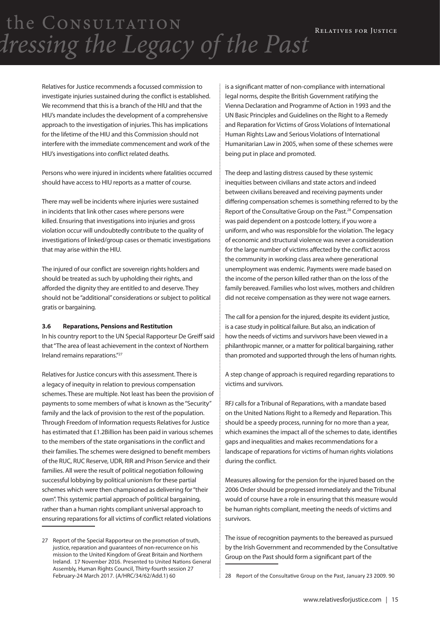Relatives for Justice recommends a focussed commission to investigate injuries sustained during the conflict is established. We recommend that this is a branch of the HIU and that the HIU's mandate includes the development of a comprehensive approach to the investigation of injuries. This has implications for the lifetime of the HIU and this Commission should not interfere with the immediate commencement and work of the HIU's investigations into conflict related deaths.

Persons who were injured in incidents where fatalities occurred should have access to HIU reports as a matter of course.

There may well be incidents where injuries were sustained in incidents that link other cases where persons were killed. Ensuring that investigations into injuries and gross violation occur will undoubtedly contribute to the quality of investigations of linked/group cases or thematic investigations that may arise within the HIU.

The injured of our conflict are sovereign rights holders and should be treated as such by upholding their rights, and afforded the dignity they are entitled to and deserve. They should not be "additional" considerations or subject to political gratis or bargaining.

#### **3.6 Reparations, Pensions and Restitution**

In his country report to the UN Special Rapporteur De Greiff said that "The area of least achievement in the context of Northern Ireland remains reparations."27

Relatives for Justice concurs with this assessment. There is a legacy of inequity in relation to previous compensation schemes. These are multiple. Not least has been the provision of payments to some members of what is known as the "Security" family and the lack of provision to the rest of the population. Through Freedom of Information requests Relatives for Justice has estimated that £1.2Billion has been paid in various schemes to the members of the state organisations in the conflict and their families. The schemes were designed to benefit members of the RUC, RUC Reserve, UDR, RIR and Prison Service and their families. All were the result of political negotiation following successful lobbying by political unionism for these partial schemes which were then championed as delivering for "their own". This systemic partial approach of political bargaining, rather than a human rights compliant universal approach to ensuring reparations for all victims of conflict related violations

is a significant matter of non-compliance with international legal norms, despite the British Government ratifying the Vienna Declaration and Programme of Action in 1993 and the UN Basic Principles and Guidelines on the Right to a Remedy and Reparation for Victims of Gross Violations of International Human Rights Law and Serious Violations of International Humanitarian Law in 2005, when some of these schemes were being put in place and promoted.

The deep and lasting distress caused by these systemic inequities between civilians and state actors and indeed between civilians bereaved and receiving payments under differing compensation schemes is something referred to by the Report of the Consultative Group on the Past.<sup>28</sup> Compensation was paid dependent on a postcode lottery, if you wore a uniform, and who was responsible for the violation. The legacy of economic and structural violence was never a consideration for the large number of victims affected by the conflict across the community in working class area where generational unemployment was endemic. Payments were made based on the income of the person killed rather than on the loss of the family bereaved. Families who lost wives, mothers and children did not receive compensation as they were not wage earners.

The call for a pension for the injured, despite its evident justice, is a case study in political failure. But also, an indication of how the needs of victims and survivors have been viewed in a philanthropic manner, or a matter for political bargaining, rather than promoted and supported through the lens of human rights.

A step change of approach is required regarding reparations to victims and survivors.

RFJ calls for a Tribunal of Reparations, with a mandate based on the United Nations Right to a Remedy and Reparation. This should be a speedy process, running for no more than a year, which examines the impact all of the schemes to date, identifies gaps and inequalities and makes recommendations for a landscape of reparations for victims of human rights violations during the conflict.

Measures allowing for the pension for the injured based on the 2006 Order should be progressed immediately and the Tribunal would of course have a role in ensuring that this measure would be human rights compliant, meeting the needs of victims and survivors.

The issue of recognition payments to the bereaved as pursued by the Irish Government and recommended by the Consultative Group on the Past should form a significant part of the

28 Report of the Consultative Group on the Past, January 23 2009. 90

<sup>27</sup> Report of the Special Rapporteur on the promotion of truth, justice, reparation and quarantees of non-recurrence on his mission to the United Kingdom of Great Britain and Northern Ireland. 17 November 2016. Presented to United Nations General Assembly, Human Rights Council, Thirty-fourth session 27 February-24 March 2017. (A/HRC/34/62/Add.1) 60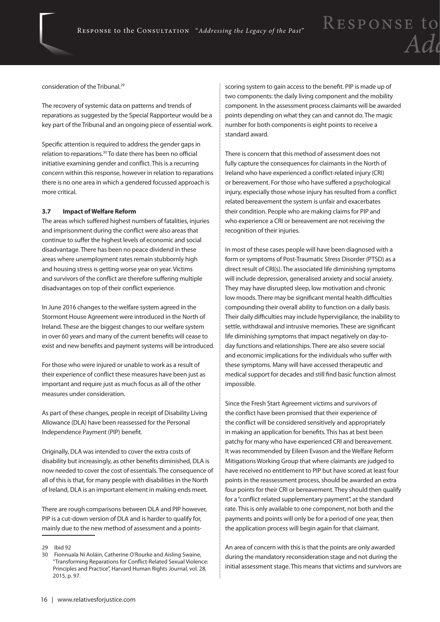consideration of the Tribunal.29

The recovery of systemic data on patterns and trends of reparations as suggested by the Special Rapporteur would be a key part of the Tribunal and an ongoing piece of essential work.

Specific attention is required to address the gender gaps in relation to reparations.30 To date there has been no official initiative examining gender and conflict. This is a recurring concern within this response, however in relation to reparations there is no one area in which a gendered focussed approach is more critical.

#### **3.7 Impact of Welfare Reform**

The areas which suffered highest numbers of fatalities, injuries and imprisonment during the conflict were also areas that continue to suffer the highest levels of economic and social disadvantage. There has been no peace dividend in these areas where unemployment rates remain stubbornly high and housing stress is getting worse year on year. Victims and survivors of the conflict are therefore suffering multiple disadvantages on top of their conflict experience.

In June 2016 changes to the welfare system agreed in the Stormont House Agreement were introduced in the North of Ireland. These are the biggest changes to our welfare system in over 60 years and many of the current benefits will cease to exist and new benefits and payment systems will be introduced.

For those who were injured or unable to work as a result of their experience of conflict these measures have been just as important and require just as much focus as all of the other measures under consideration.

As part of these changes, people in receipt of Disability Living Allowance (DLA) have been reassessed for the Personal Independence Payment (PIP) benefit.

Originally, DLA was intended to cover the extra costs of disability but increasingly, as other benefits diminished, DLA is now needed to cover the cost of essentials. The consequence of all of this is that, for many people with disabilities in the North of Ireland, DLA is an important element in making ends meet.

There are rough comparisons between DLA and PIP however, PIP is a cut-down version of DLA and is harder to qualify for, mainly due to the new method of assessment and a pointsscoring system to gain access to the benefit. PIP is made up of two components: the daily living component and the mobility component. In the assessment process claimants will be awarded points depending on what they can and cannot do. The magic number for both components is eight points to receive a standard award.

There is concern that this method of assessment does not fully capture the consequences for claimants in the North of Ireland who have experienced a conflict-related injury (CRI) or bereavement. For those who have suffered a psychological injury, especially those whose injury has resulted from a conflict related bereavement the system is unfair and exacerbates their condition. People who are making claims for PIP and who experience a CRI or bereavement are not receiving the recognition of their injuries.

In most of these cases people will have been diagnosed with a form or symptoms of Post-Traumatic Stress Disorder (PTSD) as a direct result of CRI(s). The associated life diminishing symptoms will include depression, generalised anxiety and social anxiety. They may have disrupted sleep, low motivation and chronic low moods. There may be significant mental health difficulties compounding their overall ability to function on a daily basis. Their daily difficulties may include hypervigilance, the inability to settle, withdrawal and intrusive memories. These are significant life diminishing symptoms that impact negatively on day-today functions and relationships. There are also severe social and economic implications for the individuals who suffer with these symptoms. Many will have accessed therapeutic and medical support for decades and still find basic function almost impossible.

Since the Fresh Start Agreement victims and survivors of the conflict have been promised that their experience of the conflict will be considered sensitively and appropriately in making an application for benefits. This has at best been patchy for many who have experienced CRI and bereavement. It was recommended by Eileen Evason and the Welfare Reform Mitigations Working Group that where claimants are judged to have received no entitlement to PIP but have scored at least four points in the reassessment process, should be awarded an extra four points for their CRI or bereavement. They should then qualify for a "conflict related supplementary payment", at the standard rate. This is only available to one component, not both and the payments and points will only be for a period of one year, then the application process will begin again for that claimant.

An area of concern with this is that the points are only awarded during the mandatory reconsideration stage and not during the initial assessment stage. This means that victims and survivors are

<sup>29</sup> Ibid 92

<sup>30</sup> Fionnuala Ní Aoláin, Catherine O'Rourke and Aisling Swaine, "Transforming Reparations for Conflict-Related Sexual Violence: Principles and Practice", Harvard Human Rights Journal, vol. 28, 2015, p. 97.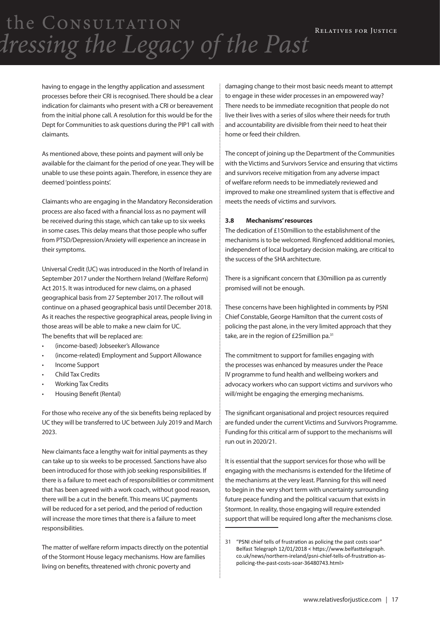> having to engage in the lengthy application and assessment processes before their CRI is recognised. There should be a clear indication for claimants who present with a CRI or bereavement from the initial phone call. A resolution for this would be for the Dept for Communities to ask questions during the PIP1 call with claimants.

> As mentioned above, these points and payment will only be available for the claimant for the period of one year. They will be unable to use these points again. Therefore, in essence they are deemed 'pointless points'.

Claimants who are engaging in the Mandatory Reconsideration process are also faced with a financial loss as no payment will be received during this stage, which can take up to six weeks in some cases. This delay means that those people who suffer from PTSD/Depression/Anxiety will experience an increase in their symptoms.

Universal Credit (UC) was introduced in the North of Ireland in September 2017 under the Northern Ireland (Welfare Reform) Act 2015. It was introduced for new claims, on a phased geographical basis from 27 September 2017. The rollout will continue on a phased geographical basis until December 2018. As it reaches the respective geographical areas, people living in those areas will be able to make a new claim for UC. The benefits that will be replaced are:

- • (income-based) Jobseeker's Allowance
- (income-related) Employment and Support Allowance
- Income Support
- **Child Tax Credits**
- **Working Tax Credits**
- Housing Benefit (Rental)

For those who receive any of the six benefits being replaced by UC they will be transferred to UC between July 2019 and March 2023.

New claimants face a lengthy wait for initial payments as they can take up to six weeks to be processed. Sanctions have also been introduced for those with job seeking responsibilities. If there is a failure to meet each of responsibilities or commitment that has been agreed with a work coach, without good reason, there will be a cut in the benefit. This means UC payments will be reduced for a set period, and the period of reduction will increase the more times that there is a failure to meet responsibilities.

The matter of welfare reform impacts directly on the potential of the Stormont House legacy mechanisms. How are families living on benefits, threatened with chronic poverty and

damaging change to their most basic needs meant to attempt to engage in these wider processes in an empowered way? There needs to be immediate recognition that people do not live their lives with a series of silos where their needs for truth and accountability are divisible from their need to heat their home or feed their children.

The concept of joining up the Department of the Communities with the Victims and Survivors Service and ensuring that victims and survivors receive mitigation from any adverse impact of welfare reform needs to be immediately reviewed and improved to make one streamlined system that is effective and meets the needs of victims and survivors.

#### **3.8 Mechanisms' resources**

The dedication of £150million to the establishment of the mechanisms is to be welcomed. Ringfenced additional monies, independent of local budgetary decision making, are critical to the success of the SHA architecture.

There is a significant concern that £30million pa as currently promised will not be enough.

These concerns have been highlighted in comments by PSNI Chief Constable, George Hamilton that the current costs of policing the past alone, in the very limited approach that they take, are in the region of £25 million pa.<sup>31</sup>

The commitment to support for families engaging with the processes was enhanced by measures under the Peace IV programme to fund health and wellbeing workers and advocacy workers who can support victims and survivors who will/might be engaging the emerging mechanisms.

The significant organisational and project resources required are funded under the current Victims and Survivors Programme. Funding for this critical arm of support to the mechanisms will run out in 2020/21.

It is essential that the support services for those who will be engaging with the mechanisms is extended for the lifetime of the mechanisms at the very least. Planning for this will need to begin in the very short term with uncertainty surrounding future peace funding and the political vacuum that exists in Stormont. In reality, those engaging will require extended support that will be required long after the mechanisms close.

<sup>31</sup> "PSNI chief tells of frustration as policing the past costs soar" Belfast Telegraph 12/01/2018 < https://www.belfasttelegraph. co.uk/news/northern-ireland/psni-chief-tells-of-frustration-aspolicing-the-past-costs-soar-36480743.html>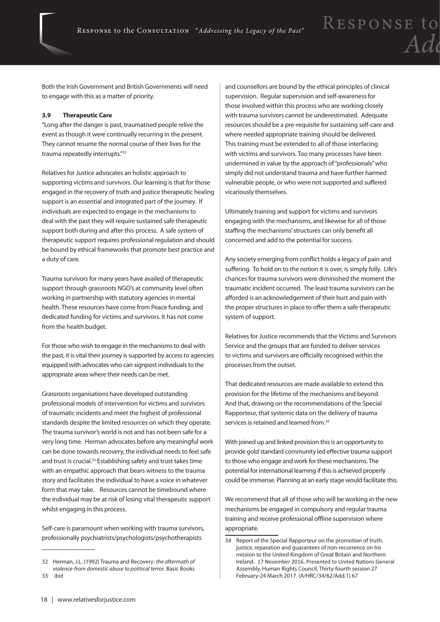Both the Irish Government and British Governments will need to engage with this as a matter of priority.

#### **3.9 Therapeutic Care**

"Long after the danger is past, traumatised people relive the event as though it were continually recurring in the present. They cannot resume the normal course of their lives for the trauma repeatedly interrupts."32

Relatives for Justice advocates an holistic approach to supporting victims and survivors. Our learning is that for those engaged in the recovery of truth and justice therapeutic healing support is an essential and integrated part of the journey. If individuals are expected to engage in the mechanisms to deal with the past they will require sustained safe therapeutic support both during and after this process. A safe system of therapeutic support requires professional regulation and should be bound by ethical frameworks that promote best practice and a duty of care.

Trauma survivors for many years have availed of therapeutic support through grassroots NGO's at community level often working in partnership with statutory agencies in mental health. These resources have come from Peace funding, and dedicated funding for victims and survivors. It has not come from the health budget.

For those who wish to engage in the mechanisms to deal with the past, it is vital their journey is supported by access to agencies equipped with advocates who can signpost individuals to the appropriate areas where their needs can be met.

Grassroots organisations have developed outstanding professional models of intervention for victims and survivors of traumatic incidents and meet the highest of professional standards despite the limited resources on which they operate. The trauma survivor's world is not and has not been safe for a very long time. Herman advocates before any meaningful work can be done towards recovery, the individual needs to feel safe and trust is crucial.<sup>33</sup> Establishing safety and trust takes time with an empathic approach that bears witness to the trauma story and facilitates the individual to have a voice in whatever form that may take. Resources cannot be timebound where the individual may be at risk of losing vital therapeutic support whilst engaging in this process.

Self-care is paramount when working with trauma survivors, professionally psychiatrists/psychologists/psychotherapists

and counsellors are bound by the ethical principles of clinical supervision. Regular supervision and self-awareness for those involved within this process who are working closely with trauma survivors cannot be underestimated. Adequate resources should be a pre-requisite for sustaining self-care and where needed appropriate training should be delivered. This training must be extended to all of those interfacing with victims and survivors. Too many processes have been undermined in value by the approach of "professionals" who simply did not understand trauma and have further harmed vulnerable people, or who were not supported and suffered vicariously themselves.

Ultimately training and support for victims and survivors engaging with the mechanisms, and likewise for all of those staffing the mechanisms' structures can only benefit all concerned and add to the potential for success.

Any society emerging from conflict holds a legacy of pain and suffering. To hold on to the notion it is over, is simply folly. Life's chances for trauma survivors were diminished the moment the traumatic incident occurred. The least trauma survivors can be afforded is an acknowledgement of their hurt and pain with the proper structures in place to offer them a safe therapeutic system of support.

Relatives for Justice recommends that the Victims and Survivors Service and the groups that are funded to deliver services to victims and survivors are officially recognised within the processes from the outset.

That dedicated resources are made available to extend this provision for the lifetime of the mechanisms and beyond. And that, drawing on the recommendations of the Special Rapporteur, that systemic data on the delivery of trauma services is retained and learned from.<sup>34</sup>

With joined up and linked provision this is an opportunity to provide gold standard community led effective trauma support to those who engage and work for these mechanisms. The potential for international learning if this is achieved properly could be immense. Planning at an early stage would facilitate this.

We recommend that all of those who will be working in the new mechanisms be engaged in compulsory and regular trauma training and receive professional offline supervision where appropriate.

<sup>32</sup> Herman, J.L. (1992) Trauma and Recovery: *the aftermath of violence-from domestic abuse to political terror*. Basic Books 33 ibid

<sup>34</sup> Report of the Special Rapporteur on the promotion of truth, justice, reparation and quarantees of non-recurrence on his mission to the United Kingdom of Great Britain and Northern Ireland. 17 November 2016. Presented to United Nations General Assembly, Human Rights Council, Thirty-fourth session 27 February-24 March 2017. (A/HRC/34/62/Add.1) 67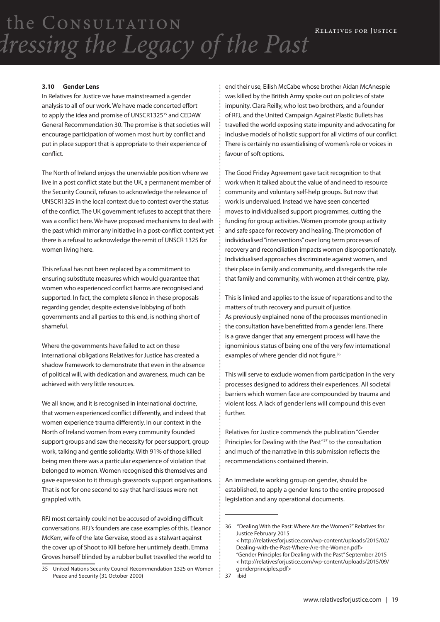#### **3.10 Gender Lens**

In Relatives for Justice we have mainstreamed a gender analysis to all of our work. We have made concerted effort to apply the idea and promise of UNSCR1325<sup>35</sup> and CEDAW General Recommendation 30. The promise is that societies will encourage participation of women most hurt by conflict and put in place support that is appropriate to their experience of conflict.

The North of Ireland enjoys the unenviable position where we live in a post conflict state but the UK, a permanent member of the Security Council, refuses to acknowledge the relevance of UNSCR1325 in the local context due to contest over the status of the conflict. The UK government refuses to accept that there was a conflict here. We have proposed mechanisms to deal with the past which mirror any initiative in a post-conflict context yet there is a refusal to acknowledge the remit of UNSCR 1325 for women living here.

This refusal has not been replaced by a commitment to ensuring substitute measures which would guarantee that women who experienced conflict harms are recognised and supported. In fact, the complete silence in these proposals regarding gender, despite extensive lobbying of both governments and all parties to this end, is nothing short of shameful.

Where the governments have failed to act on these international obligations Relatives for Justice has created a shadow framework to demonstrate that even in the absence of political will, with dedication and awareness, much can be achieved with very little resources.

We all know, and it is recognised in international doctrine, that women experienced conflict differently, and indeed that women experience trauma differently. In our context in the North of Ireland women from every community founded support groups and saw the necessity for peer support, group work, talking and gentle solidarity. With 91% of those killed being men there was a particular experience of violation that belonged to women. Women recognised this themselves and gave expression to it through grassroots support organisations. That is not for one second to say that hard issues were not grappled with.

RFJ most certainly could not be accused of avoiding difficult conversations. RFJ's founders are case examples of this. Eleanor McKerr, wife of the late Gervaise, stood as a stalwart against the cover up of Shoot to Kill before her untimely death, Emma Groves herself blinded by a rubber bullet travelled the world to end their use, Eilish McCabe whose brother Aidan McAnespie was killed by the British Army spoke out on policies of state impunity. Clara Reilly, who lost two brothers, and a founder of RFJ, and the United Campaign Against Plastic Bullets has travelled the world exposing state impunity and advocating for inclusive models of holistic support for all victims of our conflict. There is certainly no essentialising of women's role or voices in favour of soft options.

The Good Friday Agreement gave tacit recognition to that work when it talked about the value of and need to resource community and voluntary self-help groups. But now that work is undervalued. Instead we have seen concerted moves to individualised support programmes, cutting the funding for group activities. Women promote group activity and safe space for recovery and healing. The promotion of individualised "interventions" over long term processes of recovery and reconciliation impacts women disproportionately. Individualised approaches discriminate against women, and their place in family and community, and disregards the role that family and community, with women at their centre, play.

This is linked and applies to the issue of reparations and to the matters of truth recovery and pursuit of justice. As previously explained none of the processes mentioned in the consultation have benefitted from a gender lens. There is a grave danger that any emergent process will have the ignominious status of being one of the very few international examples of where gender did not figure.<sup>36</sup>

This will serve to exclude women from participation in the very processes designed to address their experiences. All societal barriers which women face are compounded by trauma and violent loss. A lack of gender lens will compound this even further.

Relatives for Justice commends the publication "Gender Principles for Dealing with the Past"37 to the consultation and much of the narrative in this submission reflects the recommendations contained therein.

An immediate working group on gender, should be established, to apply a gender lens to the entire proposed legislation and any operational documents.

<sup>35</sup> United Nations Security Council Recommendation 1325 on Women Peace and Security (31 October 2000)

<sup>36 &</sup>quot;Dealing With the Past: Where Are the Women?" Relatives for Justice February 2015

<sup>&</sup>lt; http://relativesforjustice.com/wp-content/uploads/2015/02/ Dealing-with-the-Past-Where-Are-the-Women.pdf> "Gender Principles for Dealing with the Past" September 2015 < http://relativesforjustice.com/wp-content/uploads/2015/09/ genderprinciples.pdf>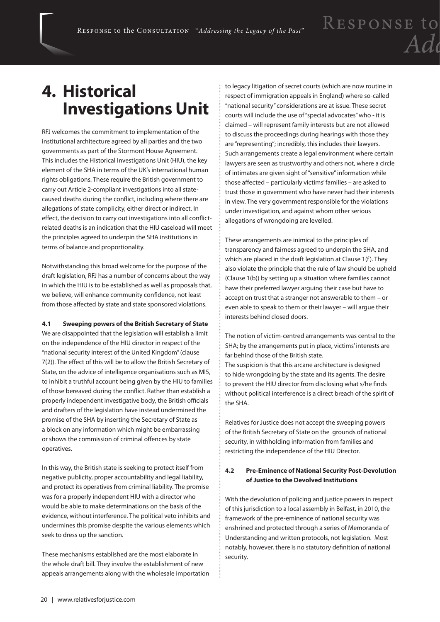### **4. Historical Investigations Unit**

RFJ welcomes the commitment to implementation of the institutional architecture agreed by all parties and the two governments as part of the Stormont House Agreement. This includes the Historical Investigations Unit (HIU), the key element of the SHA in terms of the UK's international human rights obligations. These require the British government to carry out Article 2-compliant investigations into all statecaused deaths during the conflict, including where there are allegations of state complicity, either direct or indirect. In effect, the decision to carry out investigations into all conflictrelated deaths is an indication that the HIU caseload will meet the principles agreed to underpin the SHA institutions in terms of balance and proportionality.

Notwithstanding this broad welcome for the purpose of the draft legislation, RFJ has a number of concerns about the way in which the HIU is to be established as well as proposals that, we believe, will enhance community confidence, not least from those affected by state and state sponsored violations.

#### **4.1 Sweeping powers of the British Secretary of State**

We are disappointed that the legislation will establish a limit on the independence of the HIU director in respect of the "national security interest of the United Kingdom" (clause 7(2)). The effect of this will be to allow the British Secretary of State, on the advice of intelligence organisations such as MI5, to inhibit a truthful account being given by the HIU to families of those bereaved during the conflict. Rather than establish a properly independent investigative body, the British officials and drafters of the legislation have instead undermined the promise of the SHA by inserting the Secretary of State as a block on any information which might be embarrassing or shows the commission of criminal offences by state operatives.

In this way, the British state is seeking to protect itself from negative publicity, proper accountability and legal liability, and protect its operatives from criminal liability. The promise was for a properly independent HIU with a director who would be able to make determinations on the basis of the evidence, without interference. The political veto inhibits and undermines this promise despite the various elements which seek to dress up the sanction.

These mechanisms established are the most elaborate in the whole draft bill. They involve the establishment of new appeals arrangements along with the wholesale importation to legacy litigation of secret courts (which are now routine in respect of immigration appeals in England) where so-called "national security" considerations are at issue. These secret courts will include the use of "special advocates" who - it is claimed – will represent family interests but are not allowed to discuss the proceedings during hearings with those they are "representing"; incredibly, this includes their lawyers. Such arrangements create a legal environment where certain lawyers are seen as trustworthy and others not, where a circle of intimates are given sight of "sensitive" information while those affected – particularly victims' families – are asked to trust those in government who have never had their interests in view. The very government responsible for the violations under investigation, and against whom other serious allegations of wrongdoing are levelled.

These arrangements are inimical to the principles of transparency and fairness agreed to underpin the SHA, and which are placed in the draft legislation at Clause 1(f). They also violate the principle that the rule of law should be upheld (Clause 1(b)) by setting up a situation where families cannot have their preferred lawyer arguing their case but have to accept on trust that a stranger not answerable to them – or even able to speak to them or their lawyer – will argue their interests behind closed doors.

The notion of victim-centred arrangements was central to the SHA; by the arrangements put in place, victims' interests are far behind those of the British state.

The suspicion is that this arcane architecture is designed to hide wrongdoing by the state and its agents. The desire to prevent the HIU director from disclosing what s/he finds without political interference is a direct breach of the spirit of the SHA.

Relatives for Justice does not accept the sweeping powers of the British Secretary of State on the grounds of national security, in withholding information from families and restricting the independence of the HIU Director.

#### **4.2 Pre-Eminence of National Security Post-Devolution of Justice to the Devolved Institutions**

With the devolution of policing and justice powers in respect of this jurisdiction to a local assembly in Belfast, in 2010, the framework of the pre-eminence of national security was enshrined and protected through a series of Memoranda of Understanding and written protocols, not legislation. Most notably, however, there is no statutory definition of national security.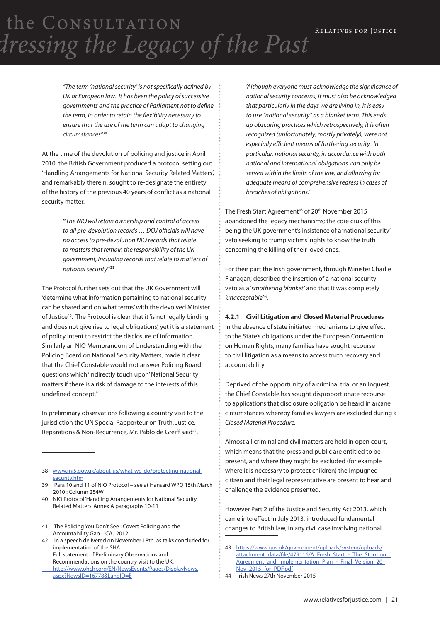*"The term 'national security' is not specifically defined by UK or European law. It has been the policy of successive governments and the practice of Parliament not to define the term, in order to retain the flexibility necessary to ensure that the use of the term can adapt to changing circumstances"38*

At the time of the devolution of policing and justice in April 2010, the British Government produced a protocol setting out 'Handling Arrangements for National Security Related Matters', and remarkably therein, sought to re-designate the entirety of the history of the previous 40 years of conflict as a national security matter.

> **"***The NIOwill retain ownership and control of access to all pre-devolution records … DOJ officials will have no access to pre-devolution NIO records that relate to matters that remain the responsibility of the UK government, including records that relate to matters of national security***"39**

The Protocol further sets out that the UK Government will 'determine what information pertaining to national security can be shared and on what terms' with the devolved Minister of Justice<sup>40</sup>. The Protocol is clear that it 'is not legally binding and does not give rise to legal obligations', yet it is a statement of policy intent to restrict the disclosure of information. Similarly an NIO Memorandum of Understanding with the Policing Board on National Security Matters, made it clear that the Chief Constable would not answer Policing Board questions which 'indirectly touch upon' National Security matters if there is a risk of damage to the interests of this undefined concept.41

In preliminary observations following a country visit to the jurisdiction the UN Special Rapporteur on Truth, Justice, Reparations & Non-Recurrence, Mr. Pablo de Greiff said<sup>42</sup>,

*'Although everyone must acknowledge the significance of national security concerns, it must also be acknowledged that particularly in the days we are living in, it is easy to use "national security" as a blanket term. This ends up obscuring practices which retrospectively, it is often recognized (unfortunately, mostly privately), were not especially efficient means of furthering security. In particular, national security, in accordance with both national and international obligations, can only be served within the limits of the law, and allowing for adequate means of comprehensive redress in cases of breaches of obligations.'*

The Fresh Start Agreement<sup>43</sup> of 20<sup>th</sup> November 2015 abandoned the legacy mechanisms; the core crux of this being the UK government's insistence of a 'national security' veto seeking to trump victims' rights to know the truth concerning the killing of their loved ones.

For their part the Irish government, through Minister Charlie Flanagan, described the insertion of a national security veto as a '*smothering blanket'* and that it was completely *'unacceptable'44.*

#### **4.2.1 Civil Litigation and Closed Material Procedures**

In the absence of state initiated mechanisms to give effect to the State's obligations under the European Convention on Human Rights, many families have sought recourse to civil litigation as a means to access truth recovery and accountability.

Deprived of the opportunity of a criminal trial or an Inquest, the Chief Constable has sought disproportionate recourse to applications that disclosure obligation be heard in arcane circumstances whereby families lawyers are excluded during a *Closed Material Procedure.*

Almost all criminal and civil matters are held in open court, which means that the press and public are entitled to be present, and where they might be excluded (for example where it is necessary to protect children) the impugned citizen and their legal representative are present to hear and challenge the evidence presented.

However Part 2 of the Justice and Security Act 2013, which came into effect in July 2013, introduced fundamental changes to British law, in any civil case involving national

<sup>38</sup> www.mi5.gov.uk/about-us/what-we-do/protecting-nationalsecurity.htm

<sup>39</sup> Para 10 and 11 of NIO Protocol – see at Hansard WPQ 15th March 2010 : Column 254W

<sup>40</sup> NIO Protocol 'Handling Arrangements for National Security Related Matters' Annex A paragraphs 10-11

<sup>41</sup> The Policing You Don't See : Covert Policing and the Accountability Gap – CAJ 2012.

<sup>42</sup> In a speech delivered on November 18th as talks concluded for implementation of the SHA Full statement of Preliminary Observations and Recommendations on the country visit to the UK: http://www.ohchr.org/EN/NewsEvents/Pages/DisplayNews. aspx?NewsID=16778&LangID=E

<sup>43</sup> https://www.gov.uk/government/uploads/system/uploads/ attachment\_data/file/479116/A\_Fresh\_Start\_-\_The\_Stormont\_ Agreement\_and\_Implementation\_Plan\_-\_Final\_Version\_20\_ Nov\_2015\_for\_PDF.pdf

<sup>44</sup> Irish News 27th November 2015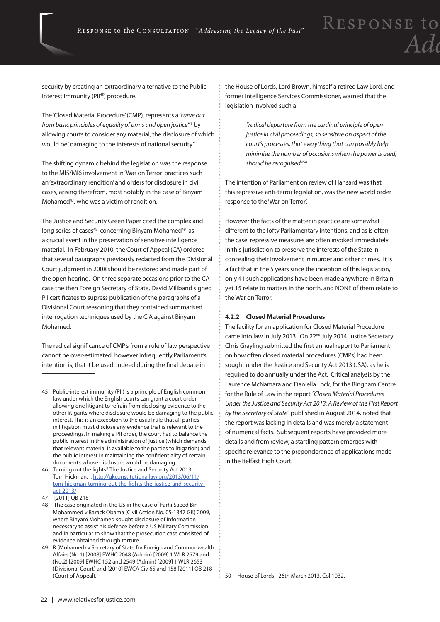security by creating an extraordinary alternative to the Public Interest Immunity (PII<sup>45</sup>) procedure.

The 'Closed Material Procedure' (CMP), represents a *'carve out from basic principles of equality of arms and open justice'46* by allowing courts to consider any material, the disclosure of which would be "damaging to the interests of national security".

The shifting dynamic behind the legislation was the response to the MI5/MI6 involvement in 'War on Terror' practices such an 'extraordinary rendition' and orders for disclosure in civil cases, arising therefrom, most notably in the case of Binyam Mohamed<sup>47</sup>, who was a victim of rendition.

The Justice and Security Green Paper cited the complex and long series of cases<sup>48</sup> concerning Binyam Mohamed<sup>49</sup> as a crucial event in the preservation of sensitive intelligence material. In February 2010, the Court of Appeal (CA) ordered that several paragraphs previously redacted from the Divisional Court judgment in 2008 should be restored and made part of the open hearing. On three separate occasions prior to the CA case the then Foreign Secretary of State, David Miliband signed PII certificates to supress publication of the paragraphs of a Divisional Court reasoning that they contained summarised interrogation techniques used by the CIA against Binyam Mohamed.

The radical significance of CMP's from a rule of law perspective cannot be over-estimated, however infrequently Parliament's intention is, that it be used. Indeed during the final debate in

the House of Lords, Lord Brown, himself a retired Law Lord, and former Intelligence Services Commissioner, warned that the legislation involved such a:

> *"radical departure from the cardinal principle of open justice in civil proceedings, so sensitive an aspect of the court's processes, that everything that can possibly help minimise the number of occasions when the power is used, should be recognised."50*

The intention of Parliament on review of Hansard was that this repressive anti-terror legislation, was the new world order response to the 'War on Terror'.

However the facts of the matter in practice are somewhat different to the lofty Parliamentary intentions, and as is often the case, repressive measures are often invoked immediately in this jurisdiction to preserve the interests of the State in concealing their involvement in murder and other crimes. It is a fact that in the 5 years since the inception of this legislation, only 41 such applications have been made anywhere in Britain, yet 15 relate to matters in the north, and NONE of them relate to the War on Terror.

#### **4.2.2 Closed Material Procedures**

The facility for an application for Closed Material Procedure came into law in July 2013. On 22<sup>nd</sup> July 2014 Justice Secretary Chris Grayling submitted the first annual report to Parliament on how often closed material procedures (CMPs) had been sought under the Justice and Security Act 2013 (JSA), as he is required to do annually under the Act. Critical analysis by the Laurence McNamara and Daniella Lock, for the Bingham Centre for the Rule of Law in the report *"Closed Material Procedures Under the Justice and Security Act 2013: A Review of the First Report by the Secretary of State"* published in August 2014, noted that the report was lacking in details and was merely a statement of numerical facts. Subsequent reports have provided more details and from review, a startling pattern emerges with specific relevance to the preponderance of applications made in the Belfast High Court.

<sup>45</sup> Public-interest immunity (PII) is a principle of English common law under which the English courts can grant a court order allowing one litigant to refrain from disclosing evidence to the other litigants where disclosure would be damaging to the public interest. This is an exception to the usual rule that all parties in litigation must disclose any evidence that is relevant to the proceedings. In making a PII order, the court has to balance the public interest in the administration of justice (which demands that relevant material is available to the parties to litigation) and the public interest in maintaining the confidentiality of certain documents whose disclosure would be damaging.

<sup>46</sup> Turning out the lights? The Justice and Security Act 2013 – Tom Hickman. . http://ukconstitutionallaw.org/2013/06/11/ tom-hickman-turning-out-the-lights-the-justice-and-securityact-2013/

<sup>47 [2011]</sup> QB 218

<sup>48</sup> The case originated in the US in the case of Farhi Saeed Bin Mohammed v Barack Obama (Civil Action No. 05-1347 GK) 2009, where Binyam Mohamed sought disclosure of information necessary to assist his defence before a US Military Commission and in particular to show that the prosecution case consisted of evidence obtained through torture.

<sup>49</sup> R (Mohamed) v Secretary of State for Foreign and Commonwealth Affairs (No.1) [2008] EWHC 2048 (Admin) [2009] 1 WLR 2579 and (No.2) [2009] EWHC 152 and 2549 (Admin) [2009] 1 WLR 2653 (Divisional Court) and [2010] EWCA Civ 65 and 158 [2011] QB 218 (Court of Appeal).

<sup>50</sup> House of Lords - 26th March 2013, Col 1032.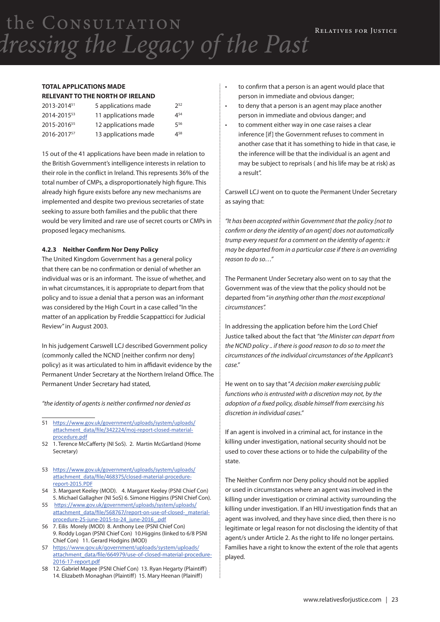#### **TOTAL APPLICATIONS MADE RELEVANT TO THE NORTH OF IRELAND**

| 2013-201451             | 5 applications made  | 252      |
|-------------------------|----------------------|----------|
| 2014-201553             | 11 applications made | $4^{54}$ |
| 2015-2016 <sup>55</sup> | 12 applications made | 556      |
| 2016-201757             | 13 applications made | 458      |

15 out of the 41 applications have been made in relation to the British Government's intelligence interests in relation to their role in the conflict in Ireland. This represents 36% of the total number of CMPs, a disproportionately high figure. This already high figure exists before any new mechanisms are implemented and despite two previous secretaries of state seeking to assure both families and the public that there would be very limited and rare use of secret courts or CMPs in proposed legacy mechanisms.

#### **4.2.3 Neither Confirm Nor Deny Policy**

The United Kingdom Government has a general policy that there can be no confirmation or denial of whether an individual was or is an informant. The issue of whether, and in what circumstances, it is appropriate to depart from that policy and to issue a denial that a person was an informant was considered by the High Court in a case called "In the matter of an application by Freddie Scappatticci for Judicial Review" in August 2003.

In his judgement Carswell LCJ described Government policy (commonly called the NCND [neither confirm nor deny] policy) as it was articulated to him in affidavit evidence by the Permanent Under Secretary at the Northern Ireland Office. The Permanent Under Secretary had stated,

*"the identity of agents is neither confirmed nor denied as*

- 52 1. Terence McCafferty (NI SoS). 2. Martin McGartland (Home Secretary)
- 53 https://www.gov.uk/government/uploads/system/uploads/ attachment\_data/file/468375/closed-material-procedurereport-2015.PDF
- 54 3. Margaret Keeley (MOD). 4. Margaret Keeley (PSNI Chief Con) 5. Michael Gallagher (NI SoS) 6. Simone Higgins (PSNI Chief Con).
- 55 https://www.gov.uk/government/uploads/system/uploads/ attachment\_data/file/568767/report-on-use-of-closed-\_materialprocedure-25-june-2015-to-24\_june-2016\_.pdf
- 56 7. Eilis Morely (MOD) 8. Anthony Lee (PSNI Chief Con) 9. Roddy Logan (PSNI Chief Con) 10.Higgins (linked to 6/8 PSNI Chief Con) 11. Gerard Hodgins (MOD)
- 57 https://www.gov.uk/government/uploads/system/uploads/ attachment\_data/file/664979/use-of-closed-material-procedure-2016-17-report.pdf
- 58 12. Gabriel Magee (PSNI Chief Con) 13. Ryan Hegarty (Plaintiff) 14. Elizabeth Monaghan (Plaintiff) 15. Mary Heenan (Plainiff)
- to confirm that a person is an agent would place that person in immediate and obvious danger;
- to deny that a person is an agent may place another person in immediate and obvious danger; and
- • to comment either way in one case raises a clear inference [if] the Government refuses to comment in another case that it has something to hide in that case, ie the inference will be that the individual is an agent and may be subject to reprisals ( and his life may be at risk) as a result".

Carswell LCJ went on to quote the Permanent Under Secretary as saying that:

*"It has been accepted within Government that the policy [not to confirm or deny the identity of an agent] does not automatically trump every request for a comment on the identity of agents: it may be departed from in a particular case if there is an overriding reason to do so…"*

The Permanent Under Secretary also went on to say that the Government was of the view that the policy should not be departed from "*in anything other than the most exceptional circumstances".*

In addressing the application before him the Lord Chief Justice talked about the fact that *"the Minister can depart from the NCND policy .. if there is good reason to do so to meet the circumstances of the individual circumstances of the Applicant's case."*

He went on to say that "*A decision maker exercising public functions who is entrusted with a discretion may not, by the adoption of a fixed policy, disable himself from exercising his discretion in individual cases."*

If an agent is involved in a criminal act, for instance in the killing under investigation, national security should not be used to cover these actions or to hide the culpability of the state.

The Neither Confirm nor Deny policy should not be applied or used in circumstances where an agent was involved in the killing under investigation or criminal activity surrounding the killing under investigation. If an HIU investigation finds that an agent was involved, and they have since died, then there is no legitimate or legal reason for not disclosing the identity of that agent/s under Article 2. As the right to life no longer pertains. Families have a right to know the extent of the role that agents played.

<sup>51</sup> https://www.gov.uk/government/uploads/system/uploads/ attachment\_data/file/342224/moj-report-closed-materialprocedure.pdf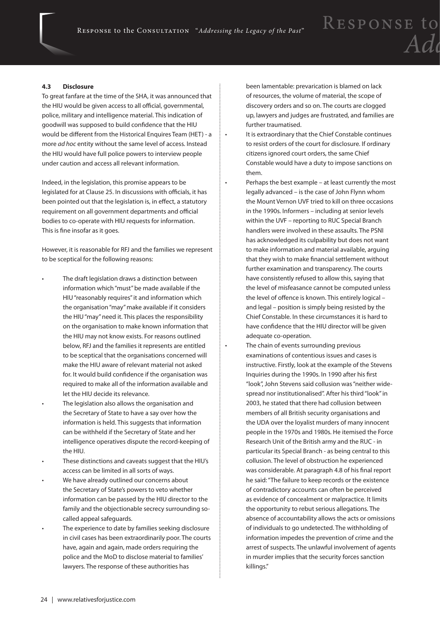#### **4.3 Disclosure**

To great fanfare at the time of the SHA, it was announced that the HIU would be given access to all official, governmental, police, military and intelligence material. This indication of goodwill was supposed to build confidence that the HIU would be different from the Historical Enquires Team (HET) - a more *ad hoc* entity without the same level of access. Instead the HIU would have full police powers to interview people under caution and access all relevant information.

Indeed, in the legislation, this promise appears to be legislated for at Clause 25. In discussions with officials, it has been pointed out that the legislation is, in effect, a statutory requirement on all government departments and official bodies to co-operate with HIU requests for information. This is fine insofar as it goes.

However, it is reasonable for RFJ and the families we represent to be sceptical for the following reasons:

- The draft legislation draws a distinction between information which "must" be made available if the HIU "reasonably requires" it and information which the organisation "may" make available if it considers the HIU "may" need it. This places the responsibility on the organisation to make known information that the HIU may not know exists. For reasons outlined below, RFJ and the families it represents are entitled to be sceptical that the organisations concerned will make the HIU aware of relevant material not asked for. It would build confidence if the organisation was required to make all of the information available and let the HIU decide its relevance.
- The legislation also allows the organisation and the Secretary of State to have a say over how the information is held. This suggests that information can be withheld if the Secretary of State and her intelligence operatives dispute the record-keeping of the HIU.
- These distinctions and caveats suggest that the HIU's access can be limited in all sorts of ways.
- We have already outlined our concerns about the Secretary of State's powers to veto whether information can be passed by the HIU director to the family and the objectionable secrecy surrounding socalled appeal safeguards.
- The experience to date by families seeking disclosure in civil cases has been extraordinarily poor. The courts have, again and again, made orders requiring the police and the MoD to disclose material to families' lawyers. The response of these authorities has

been lamentable: prevarication is blamed on lack of resources, the volume of material, the scope of discovery orders and so on. The courts are clogged up, lawyers and judges are frustrated, and families are further traumatised.

- • It is extraordinary that the Chief Constable continues to resist orders of the court for disclosure. If ordinary citizens ignored court orders, the same Chief Constable would have a duty to impose sanctions on them.
- • Perhaps the best example at least currently the most legally advanced – is the case of John Flynn whom the Mount Vernon UVF tried to kill on three occasions in the 1990s. Informers – including at senior levels within the UVF – reporting to RUC Special Branch handlers were involved in these assaults. The PSNI has acknowledged its culpability but does not want to make information and material available, arguing that they wish to make financial settlement without further examination and transparency. The courts have consistently refused to allow this, saying that the level of misfeasance cannot be computed unless the level of offence is known. This entirely logical – and legal – position is simply being resisted by the Chief Constable. In these circumstances it is hard to have confidence that the HIU director will be given adequate co-operation.
- The chain of events surrounding previous examinations of contentious issues and cases is instructive. Firstly, look at the example of the Stevens Inquiries during the 1990s. In 1990 after his first "look", John Stevens said collusion was "neither widespread nor institutionalised". After his third "look" in 2003, he stated that there had collusion between members of all British security organisations and the UDA over the loyalist murders of many innocent people in the 1970s and 1980s. He itemised the Force Research Unit of the British army and the RUC - in particular its Special Branch - as being central to this collusion. The level of obstruction he experienced was considerable. At paragraph 4.8 of his final report he said: "The failure to keep records or the existence of contradictory accounts can often be perceived as evidence of concealment or malpractice. It limits the opportunity to rebut serious allegations. The absence of accountability allows the acts or omissions of individuals to go undetected. The withholding of information impedes the prevention of crime and the arrest of suspects. The unlawful involvement of agents in murder implies that the security forces sanction killings."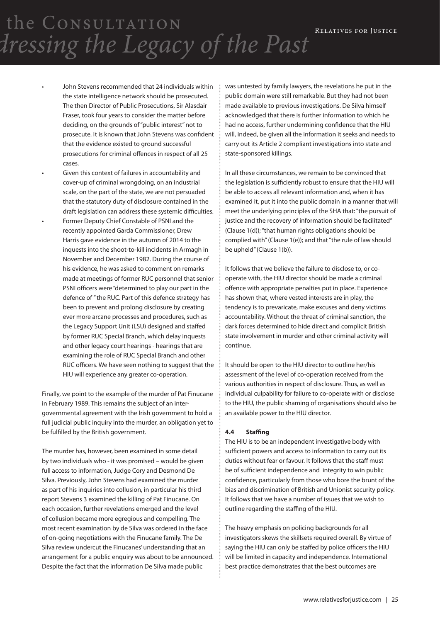- John Stevens recommended that 24 individuals within the state intelligence network should be prosecuted. The then Director of Public Prosecutions, Sir Alasdair Fraser, took four years to consider the matter before deciding, on the grounds of "public interest" not to prosecute. It is known that John Stevens was confident that the evidence existed to ground successful prosecutions for criminal offences in respect of all 25 cases.
- Given this context of failures in accountability and cover-up of criminal wrongdoing, on an industrial scale, on the part of the state, we are not persuaded that the statutory duty of disclosure contained in the draft legislation can address these systemic difficulties.
- Former Deputy Chief Constable of PSNI and the recently appointed Garda Commissioner, Drew Harris gave evidence in the autumn of 2014 to the inquests into the shoot-to-kill incidents in Armagh in November and December 1982. During the course of his evidence, he was asked to comment on remarks made at meetings of former RUC personnel that senior PSNI officers were "determined to play our part in the defence of " the RUC. Part of this defence strategy has been to prevent and prolong disclosure by creating ever more arcane processes and procedures, such as the Legacy Support Unit (LSU) designed and staffed by former RUC Special Branch, which delay inquests and other legacy court hearings - hearings that are examining the role of RUC Special Branch and other RUC officers. We have seen nothing to suggest that the HIU will experience any greater co-operation.

Finally, we point to the example of the murder of Pat Finucane in February 1989. This remains the subject of an intergovernmental agreement with the Irish government to hold a full judicial public inquiry into the murder, an obligation yet to be fulfilled by the British government.

The murder has, however, been examined in some detail by two individuals who - it was promised – would be given full access to information, Judge Cory and Desmond De Silva. Previously, John Stevens had examined the murder as part of his inquiries into collusion, in particular his third report Stevens 3 examined the killing of Pat Finucane. On each occasion, further revelations emerged and the level of collusion became more egregious and compelling. The most recent examination by de Silva was ordered in the face of on-going negotiations with the Finucane family. The De Silva review undercut the Finucanes' understanding that an arrangement for a public enquiry was about to be announced. Despite the fact that the information De Silva made public

was untested by family lawyers, the revelations he put in the public domain were still remarkable. But they had not been made available to previous investigations. De Silva himself acknowledged that there is further information to which he had no access, further undermining confidence that the HIU will, indeed, be given all the information it seeks and needs to carry out its Article 2 compliant investigations into state and state-sponsored killings.

In all these circumstances, we remain to be convinced that the legislation is sufficiently robust to ensure that the HIU will be able to access all relevant information and, when it has examined it, put it into the public domain in a manner that will meet the underlying principles of the SHA that: "the pursuit of justice and the recovery of information should be facilitated" (Clause 1(d)); "that human rights obligations should be complied with" (Clause 1(e)); and that "the rule of law should be upheld" (Clause 1(b)).

It follows that we believe the failure to disclose to, or cooperate with, the HIU director should be made a criminal offence with appropriate penalties put in place. Experience has shown that, where vested interests are in play, the tendency is to prevaricate, make excuses and deny victims accountability. Without the threat of criminal sanction, the dark forces determined to hide direct and complicit British state involvement in murder and other criminal activity will continue.

It should be open to the HIU director to outline her/his assessment of the level of co-operation received from the various authorities in respect of disclosure. Thus, as well as individual culpability for failure to co-operate with or disclose to the HIU, the public shaming of organisations should also be an available power to the HIU director.

#### **4.4 Staffing**

The HIU is to be an independent investigative body with sufficient powers and access to information to carry out its duties without fear or favour. It follows that the staff must be of sufficient independence and integrity to win public confidence, particularly from those who bore the brunt of the bias and discrimination of British and Unionist security policy. It follows that we have a number of issues that we wish to outline regarding the staffing of the HIU.

The heavy emphasis on policing backgrounds for all investigators skews the skillsets required overall. By virtue of saying the HIU can only be staffed by police officers the HIU will be limited in capacity and independence. International best practice demonstrates that the best outcomes are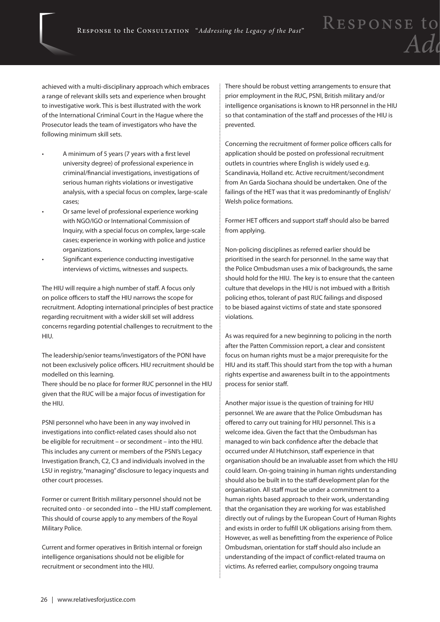achieved with a multi-disciplinary approach which embraces a range of relevant skills sets and experience when brought to investigative work. This is best illustrated with the work of the International Criminal Court in the Hague where the Prosecutor leads the team of investigators who have the following minimum skill sets.

- A minimum of 5 years (7 years with a first level university degree) of professional experience in criminal/financial investigations, investigations of serious human rights violations or investigative analysis, with a special focus on complex, large-scale cases;
- Or same level of professional experience working with NGO/IGO or International Commission of Inquiry, with a special focus on complex, large-scale cases; experience in working with police and justice organizations.
- Significant experience conducting investigative interviews of victims, witnesses and suspects.

The HIU will require a high number of staff. A focus only on police officers to staff the HIU narrows the scope for recruitment. Adopting international principles of best practice regarding recruitment with a wider skill set will address concerns regarding potential challenges to recruitment to the HIU.

The leadership/senior teams/investigators of the PONI have not been exclusively police officers. HIU recruitment should be modelled on this learning.

There should be no place for former RUC personnel in the HIU given that the RUC will be a major focus of investigation for the HIU.

PSNI personnel who have been in any way involved in investigations into conflict-related cases should also not be eligible for recruitment – or secondment – into the HIU. This includes any current or members of the PSNI's Legacy Investigation Branch, C2, C3 and individuals involved in the LSU in registry, "managing" disclosure to legacy inquests and other court processes.

Former or current British military personnel should not be recruited onto - or seconded into – the HIU staff complement. This should of course apply to any members of the Royal Military Police.

Current and former operatives in British internal or foreign intelligence organisations should not be eligible for recruitment or secondment into the HIU.

There should be robust vetting arrangements to ensure that prior employment in the RUC, PSNI, British military and/or intelligence organisations is known to HR personnel in the HIU so that contamination of the staff and processes of the HIU is prevented.

RESPONSE to

 $\overline{A}d$ 

Concerning the recruitment of former police officers calls for application should be posted on professional recruitment outlets in countries where English is widely used e.g. Scandinavia, Holland etc. Active recruitment/secondment from An Garda Siochana should be undertaken. One of the failings of the HET was that it was predominantly of English/ Welsh police formations.

Former HET officers and support staff should also be barred from applying.

Non-policing disciplines as referred earlier should be prioritised in the search for personnel. In the same way that the Police Ombudsman uses a mix of backgrounds, the same should hold for the HIU. The key is to ensure that the canteen culture that develops in the HIU is not imbued with a British policing ethos, tolerant of past RUC failings and disposed to be biased against victims of state and state sponsored violations.

As was required for a new beginning to policing in the north after the Patten Commission report, a clear and consistent focus on human rights must be a major prerequisite for the HIU and its staff. This should start from the top with a human rights expertise and awareness built in to the appointments process for senior staff.

Another major issue is the question of training for HIU personnel. We are aware that the Police Ombudsman has offered to carry out training for HIU personnel. This is a welcome idea. Given the fact that the Ombudsman has managed to win back confidence after the debacle that occurred under Al Hutchinson, staff experience in that organisation should be an invaluable asset from which the HIU could learn. On-going training in human rights understanding should also be built in to the staff development plan for the organisation. All staff must be under a commitment to a human rights based approach to their work, understanding that the organisation they are working for was established directly out of rulings by the European Court of Human Rights and exists in order to fulfill UK obligations arising from them. However, as well as benefitting from the experience of Police Ombudsman, orientation for staff should also include an understanding of the impact of conflict-related trauma on victims. As referred earlier, compulsory ongoing trauma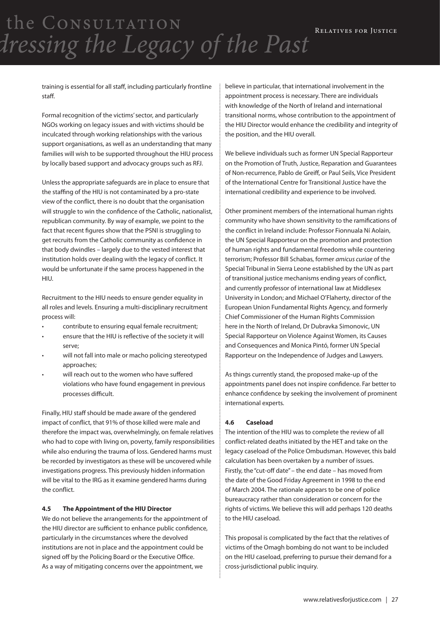training is essential for all staff, including particularly frontline staff.

Formal recognition of the victims' sector, and particularly NGOs working on legacy issues and with victims should be inculcated through working relationships with the various support organisations, as well as an understanding that many families will wish to be supported throughout the HIU process by locally based support and advocacy groups such as RFJ.

Unless the appropriate safeguards are in place to ensure that the staffing of the HIU is not contaminated by a pro-state view of the conflict, there is no doubt that the organisation will struggle to win the confidence of the Catholic, nationalist, republican community. By way of example, we point to the fact that recent figures show that the PSNI is struggling to get recruits from the Catholic community as confidence in that body dwindles – largely due to the vested interest that institution holds over dealing with the legacy of conflict. It would be unfortunate if the same process happened in the HIU.

Recruitment to the HIU needs to ensure gender equality in all roles and levels. Ensuring a multi-disciplinary recruitment process will:

- • contribute to ensuring equal female recruitment;
- ensure that the HIU is reflective of the society it will serve;
- will not fall into male or macho policing stereotyped approaches;
- will reach out to the women who have suffered violations who have found engagement in previous processes difficult.

Finally, HIU staff should be made aware of the gendered impact of conflict, that 91% of those killed were male and therefore the impact was, overwhelmingly, on female relatives who had to cope with living on, poverty, family responsibilities while also enduring the trauma of loss. Gendered harms must be recorded by investigators as these will be uncovered while investigations progress. This previously hidden information will be vital to the IRG as it examine gendered harms during the conflict.

#### **4.5 The Appointment of the HIU Director**

We do not believe the arrangements for the appointment of the HIU director are sufficient to enhance public confidence, particularly in the circumstances where the devolved institutions are not in place and the appointment could be signed off by the Policing Board or the Executive Office. As a way of mitigating concerns over the appointment, we

believe in particular, that international involvement in the appointment process is necessary. There are individuals with knowledge of the North of Ireland and international transitional norms, whose contribution to the appointment of the HIU Director would enhance the credibility and integrity of the position, and the HIU overall.

We believe individuals such as former UN Special Rapporteur on the Promotion of Truth, Justice, Reparation and Guarantees of Non-recurrence, Pablo de Greiff, or Paul Seils, Vice President of the International Centre for Transitional Justice have the international credibility and experience to be involved.

Other prominent members of the international human rights community who have shown sensitivity to the ramifications of the conflict in Ireland include: Professor Fionnuala Ní Aolain, the UN Special Rapporteur on the promotion and protection of human rights and fundamental freedoms while countering terrorism; Professor Bill Schabas, former *amicus curiae* of the Special Tribunal in Sierra Leone established by the UN as part of transitional justice mechanisms ending years of conflict, and currently professor of international law at Middlesex University in London; and Michael O'Flaherty, director of the European Union Fundamental Rights Agency, and formerly Chief Commissioner of the Human Rights Commission here in the North of Ireland, Dr Dubravka Simonovic, UN Special Rapporteur on Violence Against Women, its Causes and Consequences and Monica Pintó, former UN Special Rapporteur on the Independence of Judges and Lawyers.

As things currently stand, the proposed make-up of the appointments panel does not inspire confidence. Far better to enhance confidence by seeking the involvement of prominent international experts.

#### **4.6 Caseload**

The intention of the HIU was to complete the review of all conflict-related deaths initiated by the HET and take on the legacy caseload of the Police Ombudsman. However, this bald calculation has been overtaken by a number of issues. Firstly, the "cut-off date" – the end date – has moved from the date of the Good Friday Agreement in 1998 to the end of March 2004. The rationale appears to be one of police bureaucracy rather than consideration or concern for the rights of victims. We believe this will add perhaps 120 deaths to the HIU caseload.

This proposal is complicated by the fact that the relatives of victims of the Omagh bombing do not want to be included on the HIU caseload, preferring to pursue their demand for a cross-jurisdictional public inquiry.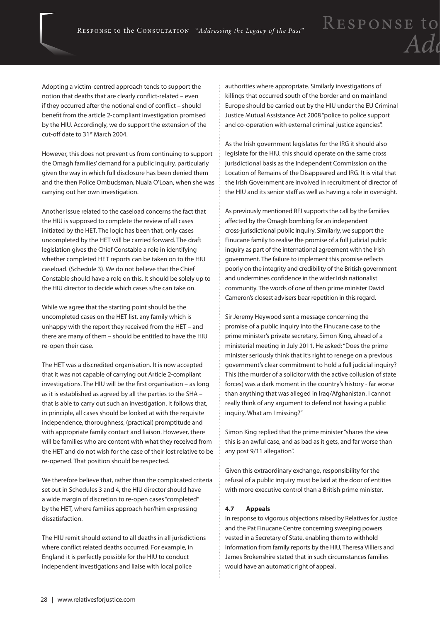Adopting a victim-centred approach tends to support the notion that deaths that are clearly conflict-related – even if they occurred after the notional end of conflict – should benefit from the article 2-compliant investigation promised by the HIU. Accordingly, we do support the extension of the cut-off date to 31st March 2004.

However, this does not prevent us from continuing to support the Omagh families' demand for a public inquiry, particularly given the way in which full disclosure has been denied them and the then Police Ombudsman, Nuala O'Loan, when she was carrying out her own investigation.

Another issue related to the caseload concerns the fact that the HIU is supposed to complete the review of all cases initiated by the HET. The logic has been that, only cases uncompleted by the HET will be carried forward. The draft legislation gives the Chief Constable a role in identifying whether completed HET reports can be taken on to the HIU caseload. (Schedule 3). We do not believe that the Chief Constable should have a role on this. It should be solely up to the HIU director to decide which cases s/he can take on.

While we agree that the starting point should be the uncompleted cases on the HET list, any family which is unhappy with the report they received from the HET – and there are many of them – should be entitled to have the HIU re-open their case.

The HET was a discredited organisation. It is now accepted that it was not capable of carrying out Article 2-compliant investigations. The HIU will be the first organisation – as long as it is established as agreed by all the parties to the SHA – that is able to carry out such an investigation. It follows that, in principle, all cases should be looked at with the requisite independence, thoroughness, (practical) promptitude and with appropriate family contact and liaison. However, there will be families who are content with what they received from the HET and do not wish for the case of their lost relative to be re-opened. That position should be respected.

We therefore believe that, rather than the complicated criteria set out in Schedules 3 and 4, the HIU director should have a wide margin of discretion to re-open cases "completed" by the HET, where families approach her/him expressing dissatisfaction.

The HIU remit should extend to all deaths in all jurisdictions where conflict related deaths occurred. For example, in England it is perfectly possible for the HIU to conduct independent investigations and liaise with local police

authorities where appropriate. Similarly investigations of killings that occurred south of the border and on mainland Europe should be carried out by the HIU under the EU Criminal Justice Mutual Assistance Act 2008 "police to police support and co-operation with external criminal justice agencies".

As the Irish government legislates for the IRG it should also legislate for the HIU, this should operate on the same cross jurisdictional basis as the Independent Commission on the Location of Remains of the Disappeared and IRG. It is vital that the Irish Government are involved in recruitment of director of the HIU and its senior staff as well as having a role in oversight.

As previously mentioned RFJ supports the call by the families affected by the Omagh bombing for an independent cross-jurisdictional public inquiry. Similarly, we support the Finucane family to realise the promise of a full judicial public inquiry as part of the international agreement with the Irish government. The failure to implement this promise reflects poorly on the integrity and credibility of the British government and undermines confidence in the wider Irish nationalist community. The words of one of then prime minister David Cameron's closest advisers bear repetition in this regard.

Sir Jeremy Heywood sent a message concerning the promise of a public inquiry into the Finucane case to the prime minister's private secretary, Simon King, ahead of a ministerial meeting in July 2011. He asked: "Does the prime minister seriously think that it's right to renege on a previous government's clear commitment to hold a full judicial inquiry? This (the murder of a solicitor with the active collusion of state forces) was a dark moment in the country's history - far worse than anything that was alleged in Iraq/Afghanistan. I cannot really think of any argument to defend not having a public inquiry. What am I missing?"

Simon King replied that the prime minister "shares the view this is an awful case, and as bad as it gets, and far worse than any post 9/11 allegation".

Given this extraordinary exchange, responsibility for the refusal of a public inquiry must be laid at the door of entities with more executive control than a British prime minister.

#### **4.7 Appeals**

In response to vigorous objections raised by Relatives for Justice and the Pat Finucane Centre concerning sweeping powers vested in a Secretary of State, enabling them to withhold information from family reports by the HIU, Theresa Villiers and James Brokenshire stated that in such circumstances families would have an automatic right of appeal.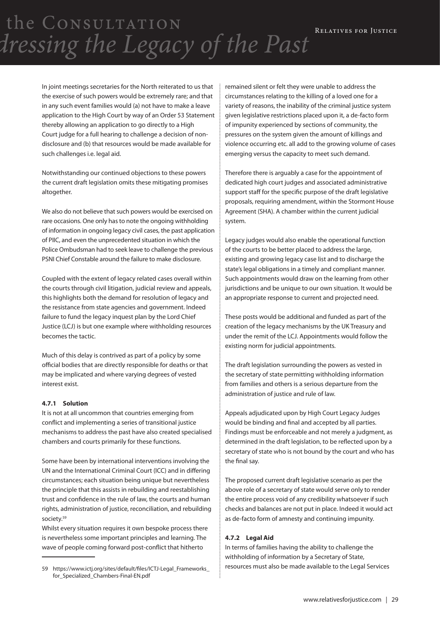In joint meetings secretaries for the North reiterated to us that the exercise of such powers would be extremely rare; and that in any such event families would (a) not have to make a leave application to the High Court by way of an Order 53 Statement thereby allowing an application to go directly to a High Court judge for a full hearing to challenge a decision of nondisclosure and (b) that resources would be made available for such challenges i.e. legal aid.

Notwithstanding our continued objections to these powers the current draft legislation omits these mitigating promises altogether.

We also do not believe that such powers would be exercised on rare occasions. One only has to note the ongoing withholding of information in ongoing legacy civil cases, the past application of PIIC, and even the unprecedented situation in which the Police Ombudsman had to seek leave to challenge the previous PSNI Chief Constable around the failure to make disclosure.

Coupled with the extent of legacy related cases overall within the courts through civil litigation, judicial review and appeals, this highlights both the demand for resolution of legacy and the resistance from state agencies and government. Indeed failure to fund the legacy inquest plan by the Lord Chief Justice (LCJ) is but one example where withholding resources becomes the tactic.

Much of this delay is contrived as part of a policy by some official bodies that are directly responsible for deaths or that may be implicated and where varying degrees of vested interest exist.

#### **4.7.1 Solution**

It is not at all uncommon that countries emerging from conflict and implementing a series of transitional justice mechanisms to address the past have also created specialised chambers and courts primarily for these functions.

Some have been by international interventions involving the UN and the International Criminal Court (ICC) and in differing circumstances; each situation being unique but nevertheless the principle that this assists in rebuilding and reestablishing trust and confidence in the rule of law, the courts and human rights, administration of justice, reconciliation, and rebuilding society.59

Whilst every situation requires it own bespoke process there is nevertheless some important principles and learning. The wave of people coming forward post-conflict that hitherto

remained silent or felt they were unable to address the circumstances relating to the killing of a loved one for a variety of reasons, the inability of the criminal justice system given legislative restrictions placed upon it, a de-facto form of impunity experienced by sections of community, the pressures on the system given the amount of killings and violence occurring etc. all add to the growing volume of cases emerging versus the capacity to meet such demand.

Therefore there is arguably a case for the appointment of dedicated high court judges and associated administrative support staff for the specific purpose of the draft legislative proposals, requiring amendment, within the Stormont House Agreement (SHA). A chamber within the current judicial system.

Legacy judges would also enable the operational function of the courts to be better placed to address the large, existing and growing legacy case list and to discharge the state's legal obligations in a timely and compliant manner. Such appointments would draw on the learning from other jurisdictions and be unique to our own situation. It would be an appropriate response to current and projected need.

These posts would be additional and funded as part of the creation of the legacy mechanisms by the UK Treasury and under the remit of the LCJ. Appointments would follow the existing norm for judicial appointments.

The draft legislation surrounding the powers as vested in the secretary of state permitting withholding information from families and others is a serious departure from the administration of justice and rule of law.

Appeals adjudicated upon by High Court Legacy Judges would be binding and final and accepted by all parties. Findings must be enforceable and not merely a judgment, as determined in the draft legislation, to be reflected upon by a secretary of state who is not bound by the court and who has the final say.

The proposed current draft legislative scenario as per the above role of a secretary of state would serve only to render the entire process void of any credibility whatsoever if such checks and balances are not put in place. Indeed it would act as de-facto form of amnesty and continuing impunity.

#### **4.7.2 Legal Aid**

In terms of families having the ability to challenge the withholding of information by a Secretary of State, resources must also be made available to the Legal Services

<sup>59</sup> https://www.ictj.org/sites/default/files/ICTJ-Legal\_Frameworks\_ for\_Specialized\_Chambers-Final-EN.pdf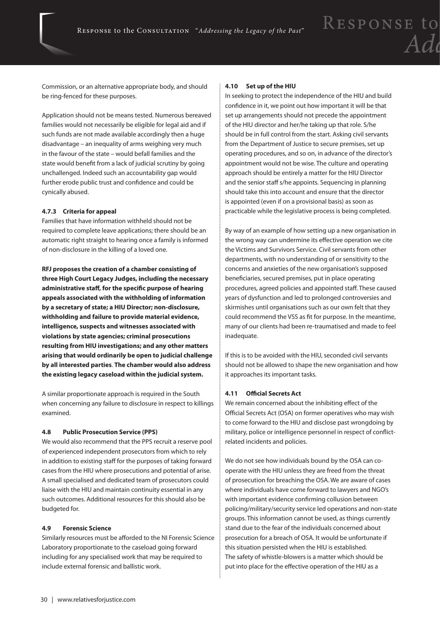Commission, or an alternative appropriate body, and should be ring-fenced for these purposes.

Application should not be means tested. Numerous bereaved families would not necessarily be eligible for legal aid and if such funds are not made available accordingly then a huge disadvantage – an inequality of arms weighing very much in the favour of the state – would befall families and the state would benefit from a lack of judicial scrutiny by going unchallenged. Indeed such an accountability gap would further erode public trust and confidence and could be cynically abused.

#### **4.7.3 Criteria for appeal**

Families that have information withheld should not be required to complete leave applications; there should be an automatic right straight to hearing once a family is informed of non-disclosure in the killing of a loved one.

**RFJ proposes the creation of a chamber consisting of three High Court Legacy Judges, including the necessary administrative staff, for the specific purpose of hearing appeals associated with the withholding of information by a secretary of state; a HIU Director; non-disclosure, withholding and failure to provide material evidence, intelligence, suspects and witnesses associated with violations by state agencies; criminal prosecutions resulting from HIU investigations; and any other matters arising that would ordinarily be open to judicial challenge by all interested parties**. **The chamber would also address the existing legacy caseload within the judicial system.**

A similar proportionate approach is required in the South when concerning any failure to disclosure in respect to killings examined.

#### **4.8 Public Prosecution Service (PPS)**

We would also recommend that the PPS recruit a reserve pool of experienced independent prosecutors from which to rely in addition to existing staff for the purposes of taking forward cases from the HIU where prosecutions and potential of arise. A small specialised and dedicated team of prosecutors could liaise with the HIU and maintain continuity essential in any such outcomes. Additional resources for this should also be budgeted for.

#### **4.9 Forensic Science**

Similarly resources must be afforded to the NI Forensic Science Laboratory proportionate to the caseload going forward including for any specialised work that may be required to include external forensic and ballistic work.

#### **4.10 Set up of the HIU**

In seeking to protect the independence of the HIU and build confidence in it, we point out how important it will be that set up arrangements should not precede the appointment of the HIU director and her/he taking up that role. S/he should be in full control from the start. Asking civil servants from the Department of Justice to secure premises, set up operating procedures, and so on, in advance of the director's appointment would not be wise. The culture and operating approach should be entirely a matter for the HIU Director and the senior staff s/he appoints. Sequencing in planning should take this into account and ensure that the director is appointed (even if on a provisional basis) as soon as practicable while the legislative process is being completed.

By way of an example of how setting up a new organisation in the wrong way can undermine its effective operation we cite the Victims and Survivors Service. Civil servants from other departments, with no understanding of or sensitivity to the concerns and anxieties of the new organisation's supposed beneficiaries, secured premises, put in place operating procedures, agreed policies and appointed staff. These caused years of dysfunction and led to prolonged controversies and skirmishes until organisations such as our own felt that they could recommend the VSS as fit for purpose. In the meantime, many of our clients had been re-traumatised and made to feel inadequate.

If this is to be avoided with the HIU, seconded civil servants should not be allowed to shape the new organisation and how it approaches its important tasks.

#### **4.11 Official Secrets Act**

We remain concerned about the inhibiting effect of the Official Secrets Act (OSA) on former operatives who may wish to come forward to the HIU and disclose past wrongdoing by military, police or intelligence personnel in respect of conflictrelated incidents and policies.

We do not see how individuals bound by the OSA can cooperate with the HIU unless they are freed from the threat of prosecution for breaching the OSA. We are aware of cases where individuals have come forward to lawyers and NGO's with important evidence confirming collusion between policing/military/security service led operations and non-state groups. This information cannot be used, as things currently stand due to the fear of the individuals concerned about prosecution for a breach of OSA. It would be unfortunate if this situation persisted when the HIU is established. The safety of whistle-blowers is a matter which should be put into place for the effective operation of the HIU as a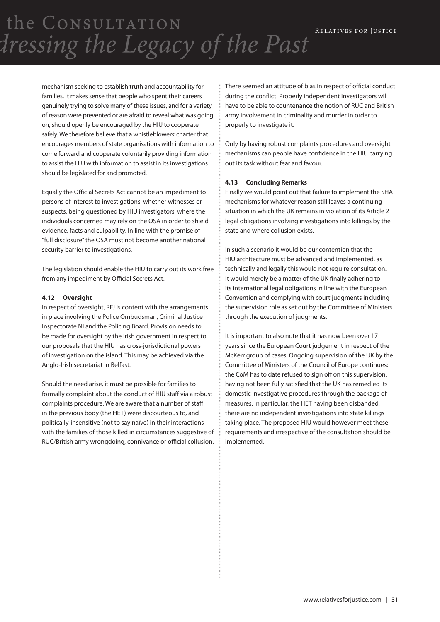> mechanism seeking to establish truth and accountability for families. It makes sense that people who spent their careers genuinely trying to solve many of these issues, and for a variety of reason were prevented or are afraid to reveal what was going on, should openly be encouraged by the HIU to cooperate safely. We therefore believe that a whistleblowers' charter that encourages members of state organisations with information to come forward and cooperate voluntarily providing information to assist the HIU with information to assist in its investigations should be legislated for and promoted.

Equally the Official Secrets Act cannot be an impediment to persons of interest to investigations, whether witnesses or suspects, being questioned by HIU investigators, where the individuals concerned may rely on the OSA in order to shield evidence, facts and culpability. In line with the promise of "full disclosure" the OSA must not become another national security barrier to investigations.

The legislation should enable the HIU to carry out its work free from any impediment by Official Secrets Act.

#### **4.12 Oversight**

In respect of oversight, RFJ is content with the arrangements in place involving the Police Ombudsman, Criminal Justice Inspectorate NI and the Policing Board. Provision needs to be made for oversight by the Irish government in respect to our proposals that the HIU has cross-jurisdictional powers of investigation on the island. This may be achieved via the Anglo-Irish secretariat in Belfast.

Should the need arise, it must be possible for families to formally complaint about the conduct of HIU staff via a robust complaints procedure. We are aware that a number of staff in the previous body (the HET) were discourteous to, and politically-insensitive (not to say naïve) in their interactions with the families of those killed in circumstances suggestive of RUC/British army wrongdoing, connivance or official collusion. There seemed an attitude of bias in respect of official conduct during the conflict. Properly independent investigators will have to be able to countenance the notion of RUC and British army involvement in criminality and murder in order to properly to investigate it.

Only by having robust complaints procedures and oversight mechanisms can people have confidence in the HIU carrying out its task without fear and favour.

#### **4.13 Concluding Remarks**

Finally we would point out that failure to implement the SHA mechanisms for whatever reason still leaves a continuing situation in which the UK remains in violation of its Article 2 legal obligations involving investigations into killings by the state and where collusion exists.

In such a scenario it would be our contention that the HIU architecture must be advanced and implemented, as technically and legally this would not require consultation. It would merely be a matter of the UK finally adhering to its international legal obligations in line with the European Convention and complying with court judgments including the supervision role as set out by the Committee of Ministers through the execution of judgments.

It is important to also note that it has now been over 17 years since the European Court judgement in respect of the McKerr group of cases. Ongoing supervision of the UK by the Committee of Ministers of the Council of Europe continues; the CoM has to date refused to sign off on this supervision, having not been fully satisfied that the UK has remedied its domestic investigative procedures through the package of measures. In particular, the HET having been disbanded, there are no independent investigations into state killings taking place. The proposed HIU would however meet these requirements and irrespective of the consultation should be implemented.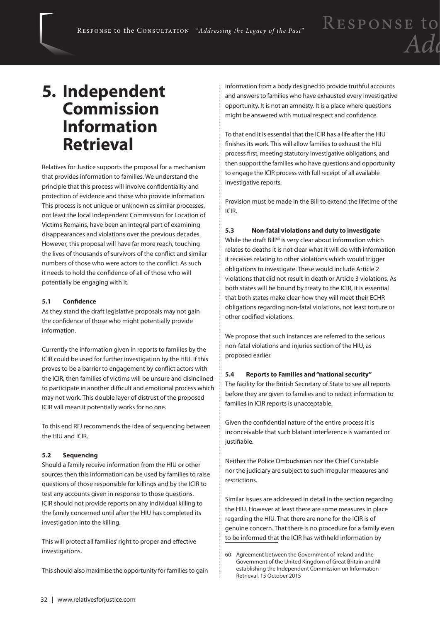### **5. Independent Commission Information Retrieval**

Relatives for Justice supports the proposal for a mechanism that provides information to families. We understand the principle that this process will involve confidentiality and protection of evidence and those who provide information. This process is not unique or unknown as similar processes, not least the local Independent Commission for Location of Victims Remains, have been an integral part of examining disappearances and violations over the previous decades. However, this proposal will have far more reach, touching the lives of thousands of survivors of the conflict and similar numbers of those who were actors to the conflict. As such it needs to hold the confidence of all of those who will potentially be engaging with it.

#### **5.1 Confidence**

As they stand the draft legislative proposals may not gain the confidence of those who might potentially provide information.

Currently the information given in reports to families by the ICIR could be used for further investigation by the HIU. If this proves to be a barrier to engagement by conflict actors with the ICIR, then families of victims will be unsure and disinclined to participate in another difficult and emotional process which may not work. This double layer of distrust of the proposed ICIR will mean it potentially works for no one.

To this end RFJ recommends the idea of sequencing between the HIU and ICIR.

#### **5.2 Sequencing**

Should a family receive information from the HIU or other sources then this information can be used by families to raise questions of those responsible for killings and by the ICIR to test any accounts given in response to those questions. ICIR should not provide reports on any individual killing to the family concerned until after the HIU has completed its investigation into the killing.

This will protect all families' right to proper and effective investigations.

This should also maximise the opportunity for families to gain

information from a body designed to provide truthful accounts and answers to families who have exhausted every investigative opportunity. It is not an amnesty. It is a place where questions might be answered with mutual respect and confidence.

To that end it is essential that the ICIR has a life after the HIU finishes its work. This will allow families to exhaust the HIU process first, meeting statutory investigative obligations, and then support the families who have questions and opportunity to engage the ICIR process with full receipt of all available investigative reports.

Provision must be made in the Bill to extend the lifetime of the ICIR.

#### **5.3 Non-fatal violations and duty to investigate**

While the draft Bill<sup>60</sup> is very clear about information which relates to deaths it is not clear what it will do with information it receives relating to other violations which would trigger obligations to investigate. These would include Article 2 violations that did not result in death or Article 3 violations. As both states will be bound by treaty to the ICIR, it is essential that both states make clear how they will meet their ECHR obligations regarding non-fatal violations, not least torture or other codified violations.

We propose that such instances are referred to the serious non-fatal violations and injuries section of the HIU, as proposed earlier.

#### **5.4 Reports to Families and "national security"**

The facility for the British Secretary of State to see all reports before they are given to families and to redact information to families in ICIR reports is unacceptable.

Given the confidential nature of the entire process it is inconceivable that such blatant interference is warranted or justifiable.

Neither the Police Ombudsman nor the Chief Constable nor the judiciary are subject to such irregular measures and restrictions.

Similar issues are addressed in detail in the section regarding the HIU. However at least there are some measures in place regarding the HIU. That there are none for the ICIR is of genuine concern. That there is no procedure for a family even to be informed that the ICIR has withheld information by

<sup>60</sup> Agreement between the Government of Ireland and the Government of the United Kingdom of Great Britain and NI establishing the Independent Commission on Information Retrieval, 15 October 2015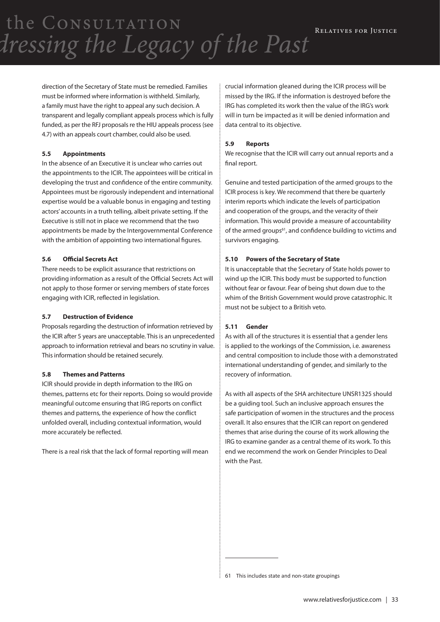direction of the Secretary of State must be remedied. Families must be informed where information is withheld. Similarly, a family must have the right to appeal any such decision. A transparent and legally compliant appeals process which is fully funded, as per the RFJ proposals re the HIU appeals process (see 4.7) with an appeals court chamber, could also be used.

#### **5.5 Appointments**

In the absence of an Executive it is unclear who carries out the appointments to the ICIR. The appointees will be critical in developing the trust and confidence of the entire community. Appointees must be rigorously independent and international expertise would be a valuable bonus in engaging and testing actors' accounts in a truth telling, albeit private setting. If the Executive is still not in place we recommend that the two appointments be made by the Intergovernmental Conference with the ambition of appointing two international figures.

#### **5.6 Official Secrets Act**

There needs to be explicit assurance that restrictions on providing information as a result of the Official Secrets Act will not apply to those former or serving members of state forces engaging with ICIR, reflected in legislation.

#### **5.7 Destruction of Evidence**

Proposals regarding the destruction of information retrieved by the ICIR after 5 years are unacceptable. This is an unprecedented approach to information retrieval and bears no scrutiny in value. This information should be retained securely.

#### **5.8 Themes and Patterns**

ICIR should provide in depth information to the IRG on themes, patterns etc for their reports. Doing so would provide meaningful outcome ensuring that IRG reports on conflict themes and patterns, the experience of how the conflict unfolded overall, including contextual information, would more accurately be reflected.

There is a real risk that the lack of formal reporting will mean

crucial information gleaned during the ICIR process will be missed by the IRG. If the information is destroyed before the IRG has completed its work then the value of the IRG's work will in turn be impacted as it will be denied information and data central to its objective.

#### **5.9 Reports**

We recognise that the ICIR will carry out annual reports and a final report.

Genuine and tested participation of the armed groups to the ICIR process is key. We recommend that there be quarterly interim reports which indicate the levels of participation and cooperation of the groups, and the veracity of their information. This would provide a measure of accountability of the armed groups<sup>61</sup>, and confidence building to victims and survivors engaging.

#### **5.10 Powers of the Secretary of State**

It is unacceptable that the Secretary of State holds power to wind up the ICIR. This body must be supported to function without fear or favour*.* Fear of being shut down due to the whim of the British Government would prove catastrophic. It must not be subject to a British veto.

#### **5.11 Gender**

As with all of the structures it is essential that a gender lens is applied to the workings of the Commission, i.e. awareness and central composition to include those with a demonstrated international understanding of gender, and similarly to the recovery of information.

As with all aspects of the SHA architecture UNSR1325 should be a guiding tool. Such an inclusive approach ensures the safe participation of women in the structures and the process overall. It also ensures that the ICIR can report on gendered themes that arise during the course of its work allowing the IRG to examine gander as a central theme of its work. To this end we recommend the work on Gender Principles to Deal with the Past.

61 This includes state and non-state groupings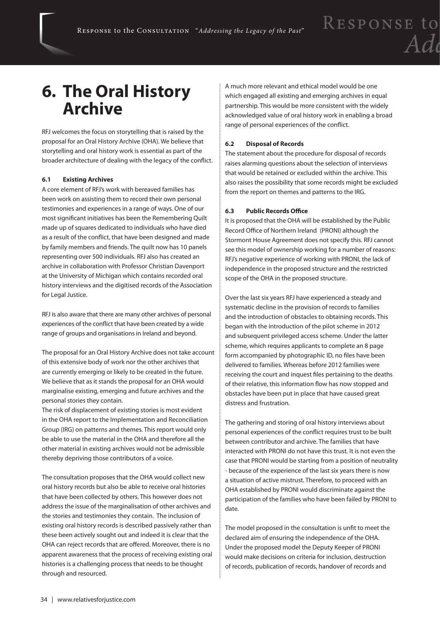### **6. The Oral History Archive**

RFJ welcomes the focus on storytelling that is raised by the proposal for an Oral History Archive (OHA). We believe that storytelling and oral history work is essential as part of the broader architecture of dealing with the legacy of the conflict.

#### **6.1 Existing Archives**

A core element of RFJ's work with bereaved families has been work on assisting them to record their own personal testimonies and experiences in a range of ways. One of our most significant initiatives has been the Remembering Quilt made up of squares dedicated to individuals who have died as a result of the conflict, that have been designed and made by family members and friends. The quilt now has 10 panels representing over 500 individuals. RFJ also has created an archive in collaboration with Professor Christian Davenport at the University of Michigan which contains recorded oral history interviews and the digitised records of the Association for Legal Justice.

RFJ is also aware that there are many other archives of personal experiences of the conflict that have been created by a wide range of groups and organisations in Ireland and beyond.

The proposal for an Oral History Archive does not take account of this extensive body of work nor the other archives that are currently emerging or likely to be created in the future. We believe that as it stands the proposal for an OHA would marginalise existing, emerging and future archives and the personal stories they contain.

The risk of displacement of existing stories is most evident in the OHA report to the Implementation and Reconciliation Group (IRG) on patterns and themes. This report would only be able to use the material in the OHA and therefore all the other material in existing archives would not be admissible thereby depriving those contributors of a voice.

The consultation proposes that the OHA would collect new oral history records but also be able to receive oral histories that have been collected by others. This however does not address the issue of the marginalisation of other archives and the stories and testimonies they contain. The inclusion of existing oral history records is described passively rather than these been actively sought out and indeed it is clear that the OHA can reject records that are offered. Moreover, there is no apparent awareness that the process of receiving existing oral histories is a challenging process that needs to be thought through and resourced.

A much more relevant and ethical model would be one which engaged all existing and emerging archives in equal partnership. This would be more consistent with the widely acknowledged value of oral history work in enabling a broad range of personal experiences of the conflict.

#### **6.2 Disposal of Records**

The statement about the procedure for disposal of records raises alarming questions about the selection of interviews that would be retained or excluded within the archive. This also raises the possibility that some records might be excluded from the report on themes and patterns to the IRG.

#### **6.3 Public Records Office**

It is proposed that the OHA will be established by the Public Record Office of Northern Ireland (PRONI) although the Stormont House Agreement does not specify this. RFJ cannot see this model of ownership working for a number of reasons: RFJ's negative experience of working with PRONI, the lack of independence in the proposed structure and the restricted scope of the OHA in the proposed structure.

Over the last six years RFJ have experienced a steady and systematic decline in the provision of records to families and the introduction of obstacles to obtaining records. This began with the introduction of the pilot scheme in 2012 and subsequent privileged access scheme. Under the latter scheme, which requires applicants to complete an 8 page form accompanied by photographic ID, no files have been delivered to families. Whereas before 2012 families were receiving the court and inquest files pertaining to the deaths of their relative, this information flow has now stopped and obstacles have been put in place that have caused great distress and frustration.

The gathering and storing of oral history interviews about personal experiences of the conflict requires trust to be built between contributor and archive. The families that have interacted with PRONI do not have this trust. It is not even the case that PRONI would be starting from a position of neutrality - because of the experience of the last six years there is now a situation of active mistrust. Therefore, to proceed with an OHA established by PRONI would discriminate against the participation of the families who have been failed by PRONI to date.

The model proposed in the consultation is unfit to meet the declared aim of ensuring the independence of the OHA. Under the proposed model the Deputy Keeper of PRONI would make decisions on criteria for inclusion, destruction of records, publication of records, handover of records and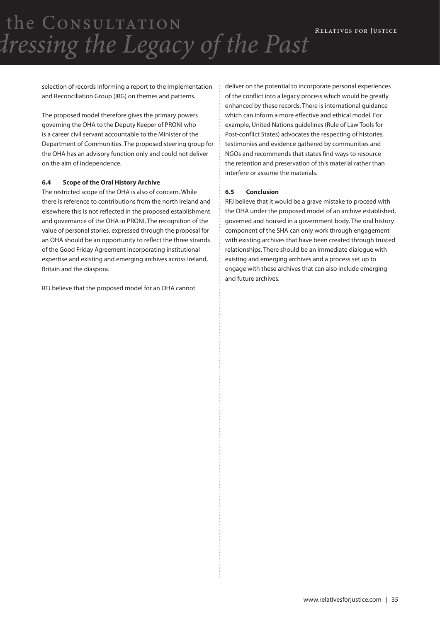selection of records informing a report to the Implementation and Reconciliation Group (IRG) on themes and patterns.

The proposed model therefore gives the primary powers governing the OHA to the Deputy Keeper of PRONI who is a career civil servant accountable to the Minister of the Department of Communities. The proposed steering group for the OHA has an advisory function only and could not deliver on the aim of independence.

#### **6.4 Scope of the Oral History Archive**

The restricted scope of the OHA is also of concern. While there is reference to contributions from the north Ireland and elsewhere this is not reflected in the proposed establishment and governance of the OHA in PRONI. The recognition of the value of personal stories, expressed through the proposal for an OHA should be an opportunity to reflect the three strands of the Good Friday Agreement incorporating institutional expertise and existing and emerging archives across Ireland, Britain and the diaspora.

RFJ believe that the proposed model for an OHA cannot

deliver on the potential to incorporate personal experiences of the conflict into a legacy process which would be greatly enhanced by these records. There is international guidance which can inform a more effective and ethical model. For example, United Nations guidelines (Rule of Law Tools for Post-conflict States) advocates the respecting of histories, testimonies and evidence gathered by communities and NGOs and recommends that states find ways to resource the retention and preservation of this material rather than interfere or assume the materials.

#### **6.5 Conclusion**

RFJ believe that it would be a grave mistake to proceed with the OHA under the proposed model of an archive established, governed and housed in a government body. The oral history component of the SHA can only work through engagement with existing archives that have been created through trusted relationships. There should be an immediate dialogue with existing and emerging archives and a process set up to engage with these archives that can also include emerging and future archives.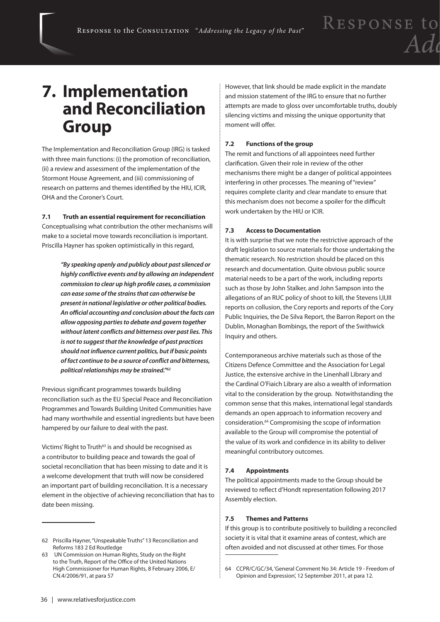### **7. Implementation and Reconciliation Group**

The Implementation and Reconciliation Group (IRG) is tasked with three main functions: (i) the promotion of reconciliation, (ii) a review and assessment of the implementation of the Stormont House Agreement, and (iii) commissioning of research on patterns and themes identified by the HIU, ICIR, OHA and the Coroner's Court.

#### **7.1 Truth an essential requirement for reconciliation**

Conceptualising what contribution the other mechanisms will make to a societal move towards reconciliation is important. Priscilla Hayner has spoken optimistically in this regard,

> *"By speaking openly and publicly about past silenced or highly conflictive events and by allowing an independent commission to clear up high profile cases, a commission can ease some of the strains that can otherwise be present in national legislative or other political bodies. An official accounting and conclusion about the facts can allow opposing parties to debate and govern together without latent conflicts and bitterness over past lies. This is not to suggest that the knowledge of past practices should not influence current politics, but if basic points of fact continue to be a source of conflict and bitterness, political relationships may be strained."62*

Previous significant programmes towards building reconciliation such as the EU Special Peace and Reconciliation Programmes and Towards Building United Communities have had many worthwhile and essential ingredients but have been hampered by our failure to deal with the past.

Victims' Right to Truth<sup>63</sup> is and should be recognised as a contributor to building peace and towards the goal of societal reconciliation that has been missing to date and it is a welcome development that truth will now be considered an important part of building reconciliation. It is a necessary element in the objective of achieving reconciliation that has to date been missing.

However, that link should be made explicit in the mandate and mission statement of the IRG to ensure that no further attempts are made to gloss over uncomfortable truths, doubly silencing victims and missing the unique opportunity that moment will offer.

#### **7.2 Functions of the group**

The remit and functions of all appointees need further clarification. Given their role in review of the other mechanisms there might be a danger of political appointees interfering in other processes. The meaning of "review" requires complete clarity and clear mandate to ensure that this mechanism does not become a spoiler for the difficult work undertaken by the HIU or ICIR.

#### **7.3 Access to Documentation**

It is with surprise that we note the restrictive approach of the draft legislation to source materials for those undertaking the thematic research. No restriction should be placed on this research and documentation. Quite obvious public source material needs to be a part of the work, including reports such as those by John Stalker, and John Sampson into the allegations of an RUC policy of shoot to kill, the Stevens I,II,III reports on collusion, the Cory reports and reports of the Cory Public Inquiries, the De Silva Report, the Barron Report on the Dublin, Monaghan Bombings, the report of the Swithwick Inquiry and others.

Contemporaneous archive materials such as those of the Citizens Defence Committee and the Association for Legal Justice, the extensive archive in the Linenhall Library and the Cardinal O'Fiaich Library are also a wealth of information vital to the consideration by the group. Notwithstanding the common sense that this makes, international legal standards demands an open approach to information recovery and consideration.64 Compromising the scope of information available to the Group will compromise the potential of the value of its work and confidence in its ability to deliver meaningful contributory outcomes.

#### **7.4 Appointments**

The political appointments made to the Group should be reviewed to reflect d'Hondt representation following 2017 Assembly election.

#### **7.5 Themes and Patterns**

If this group is to contribute positively to building a reconciled society it is vital that it examine areas of contest, which are often avoided and not discussed at other times. For those

<sup>62</sup> Priscilla Hayner, "Unspeakable Truths" 13 Reconciliation and Reforms 183 2 Ed Routledge

<sup>63</sup> UN Commission on Human Rights, Study on the Right to the Truth, Report of the Office of the United Nations High Commissioner for Human Rights, 8 February 2006, E/ CN.4/2006/91, at para 57

<sup>64</sup> CCPR/C/GC/34, 'General Comment No 34: Article 19 - Freedom of Opinion and Expression', 12 September 2011, at para 12.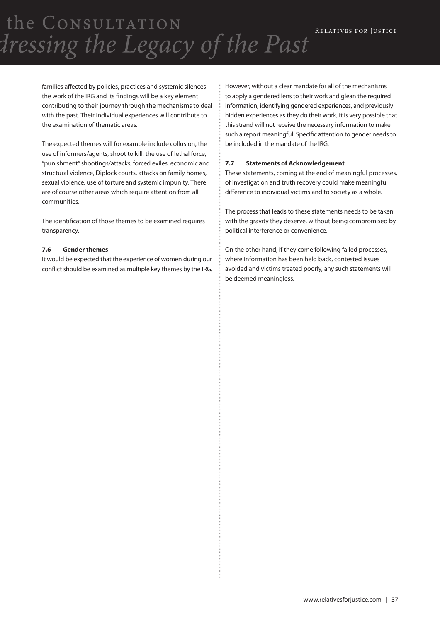families affected by policies, practices and systemic silences the work of the IRG and its findings will be a key element contributing to their journey through the mechanisms to deal with the past. Their individual experiences will contribute to the examination of thematic areas.

The expected themes will for example include collusion, the use of informers/agents, shoot to kill, the use of lethal force, "punishment" shootings/attacks, forced exiles, economic and structural violence, Diplock courts, attacks on family homes, sexual violence, use of torture and systemic impunity. There are of course other areas which require attention from all communities.

The identification of those themes to be examined requires transparency.

#### **7.6 Gender themes**

It would be expected that the experience of women during our conflict should be examined as multiple key themes by the IRG. However, without a clear mandate for all of the mechanisms to apply a gendered lens to their work and glean the required information, identifying gendered experiences, and previously hidden experiences as they do their work, it is very possible that this strand will not receive the necessary information to make such a report meaningful. Specific attention to gender needs to be included in the mandate of the IRG.

#### **7.7 Statements of Acknowledgement**

These statements, coming at the end of meaningful processes, of investigation and truth recovery could make meaningful difference to individual victims and to society as a whole.

The process that leads to these statements needs to be taken with the gravity they deserve, without being compromised by political interference or convenience.

On the other hand, if they come following failed processes, where information has been held back, contested issues avoided and victims treated poorly, any such statements will be deemed meaningless.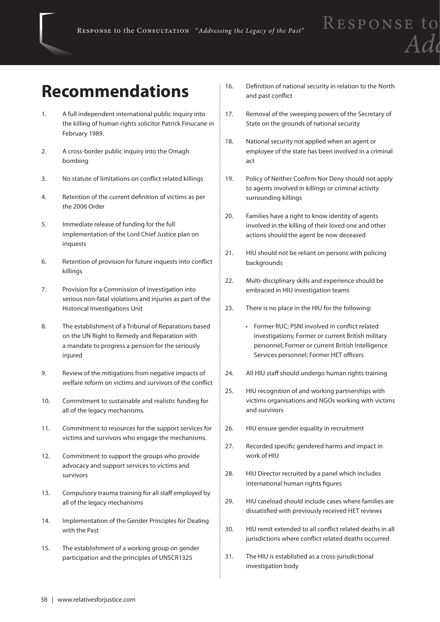### **Recommendations**

- 1. A full independent international public inquiry into the killing of human rights solicitor Patrick Finucane in February 1989.
- 2. A cross-border public inquiry into the Omagh bombing
- 3. No statute of limitations on conflict related killings
- 4. Retention of the current definition of victims as per the 2006 Order
- 5. Immediate release of funding for the full implementation of the Lord Chief Justice plan on inquests
- 6. Retention of provision for future inquests into conflict killings
- 7. Provision for a Commission of Investigation into serious non-fatal violations and injuries as part of the Historical Investigations Unit
- 8. The establishment of a Tribunal of Reparations based on the UN Right to Remedy and Reparation with a mandate to progress a pension for the seriously injured
- 9. Review of the mitigations from negative impacts of welfare reform on victims and survivors of the conflict
- 10. Commitment to sustainable and realistic funding for all of the legacy mechanisms.
- 11. Commitment to resources for the support services for victims and survivors who engage the mechanisms.
- 12. Commitment to support the groups who provide advocacy and support services to victims and survivors
- 13. Compulsory trauma training for all staff employed by all of the legacy mechanisms
- 14. Implementation of the Gender Principles for Dealing with the Past
- 15. The establishment of a working group on gender participation and the principles of UNSCR1325
- 16. Definition of national security in relation to the North and past conflict
- 17. Removal of the sweeping powers of the Secretary of State on the grounds of national security
- 18. National security not applied when an agent or employee of the state has been involved in a criminal act
- 19. Policy of Neither Confirm Nor Deny should not apply to agents involved in killings or criminal activity surrounding killings
- 20. Families have a right to know identity of agents involved in the killing of their loved one and other actions should the agent be now deceased
- 21. HIU should not be reliant on persons with policing backgrounds
- 22. Multi-disciplinary skills and experience should be embraced in HIU investigation teams
- 23. There is no place in the HIU for the following:
	- • Former RUC; PSNI involved in conflict related investigations; Former or current British military personnel; Former or current British Intelligence Services personnel; Former HET officers
- 24. All HIU staff should undergo human rights training
- 25. HIU recognition of and working partnerships with victims organisations and NGOs working with victims and survivors
- 26. HIU ensure gender equality in recruitment
- 27. Recorded specific gendered harms and impact in work of HIU
- 28. HIU Director recruited by a panel which includes international human rights figures
- 29. HIU caseload should include cases where families are dissatisfied with previously received HET reviews
- 30. HIU remit extended to all conflict related deaths in all jurisdictions where conflict related deaths occurred
- 31. The HIU is established as a cross-jurisdictional investigation body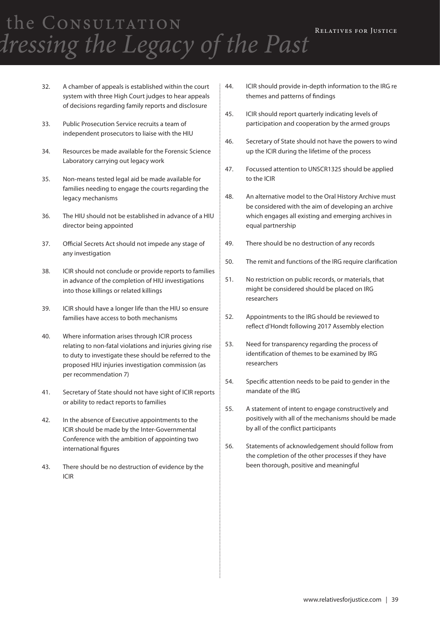- 32. A chamber of appeals is established within the court system with three High Court judges to hear appeals of decisions regarding family reports and disclosure
- 33. Public Prosecution Service recruits a team of independent prosecutors to liaise with the HIU
- 34. Resources be made available for the Forensic Science Laboratory carrying out legacy work
- 35. Non-means tested legal aid be made available for families needing to engage the courts regarding the legacy mechanisms
- 36. The HIU should not be established in advance of a HIU director being appointed
- 37. Official Secrets Act should not impede any stage of any investigation
- 38. ICIR should not conclude or provide reports to families in advance of the completion of HIU investigations into those killings or related killings
- 39. ICIR should have a longer life than the HIU so ensure families have access to both mechanisms
- 40. Where information arises through ICIR process relating to non-fatal violations and injuries giving rise to duty to investigate these should be referred to the proposed HIU injuries investigation commission (as per recommendation 7)
- 41. Secretary of State should not have sight of ICIR reports or ability to redact reports to families
- 42. In the absence of Executive appointments to the ICIR should be made by the Inter-Governmental Conference with the ambition of appointing two international figures
- 43. There should be no destruction of evidence by the ICIR
- 44. ICIR should provide in-depth information to the IRG re themes and patterns of findings
- 45. ICIR should report quarterly indicating levels of participation and cooperation by the armed groups
- 46. Secretary of State should not have the powers to wind up the ICIR during the lifetime of the process
- 47. Focussed attention to UNSCR1325 should be applied to the ICIR
- 48. An alternative model to the Oral History Archive must be considered with the aim of developing an archive which engages all existing and emerging archives in equal partnership
- 49. There should be no destruction of any records
- 50. The remit and functions of the IRG require clarification
- 51. No restriction on public records, or materials, that might be considered should be placed on IRG researchers
- 52. Appointments to the IRG should be reviewed to reflect d'Hondt following 2017 Assembly election
- 53. Need for transparency regarding the process of identification of themes to be examined by IRG researchers
- 54. Specific attention needs to be paid to gender in the mandate of the IRG
- 55. A statement of intent to engage constructively and positively with all of the mechanisms should be made by all of the conflict participants
- 56. Statements of acknowledgement should follow from the completion of the other processes if they have been thorough, positive and meaningful